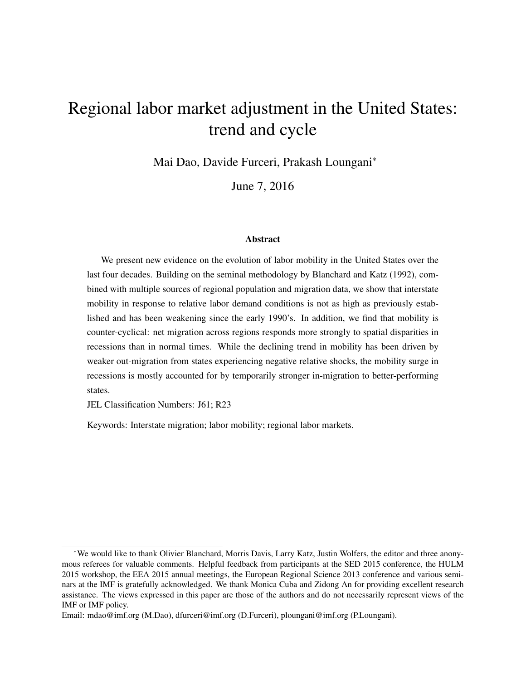# Regional labor market adjustment in the United States: trend and cycle

Mai Dao, Davide Furceri, Prakash Loungani<sup>∗</sup>

June 7, 2016

#### **Abstract**

We present new evidence on the evolution of labor mobility in the United States over the last four decades. Building on the seminal methodology by Blanchard and Katz (1992), combined with multiple sources of regional population and migration data, we show that interstate mobility in response to relative labor demand conditions is not as high as previously established and has been weakening since the early 1990's. In addition, we find that mobility is counter-cyclical: net migration across regions responds more strongly to spatial disparities in recessions than in normal times. While the declining trend in mobility has been driven by weaker out-migration from states experiencing negative relative shocks, the mobility surge in recessions is mostly accounted for by temporarily stronger in-migration to better-performing states.

JEL Classification Numbers: J61; R23

Keywords: Interstate migration; labor mobility; regional labor markets.

<sup>∗</sup>We would like to thank Olivier Blanchard, Morris Davis, Larry Katz, Justin Wolfers, the editor and three anonymous referees for valuable comments. Helpful feedback from participants at the SED 2015 conference, the HULM 2015 workshop, the EEA 2015 annual meetings, the European Regional Science 2013 conference and various seminars at the IMF is gratefully acknowledged. We thank Monica Cuba and Zidong An for providing excellent research assistance. The views expressed in this paper are those of the authors and do not necessarily represent views of the IMF or IMF policy.

Email: mdao@imf.org (M.Dao), dfurceri@imf.org (D.Furceri), ploungani@imf.org (P.Loungani).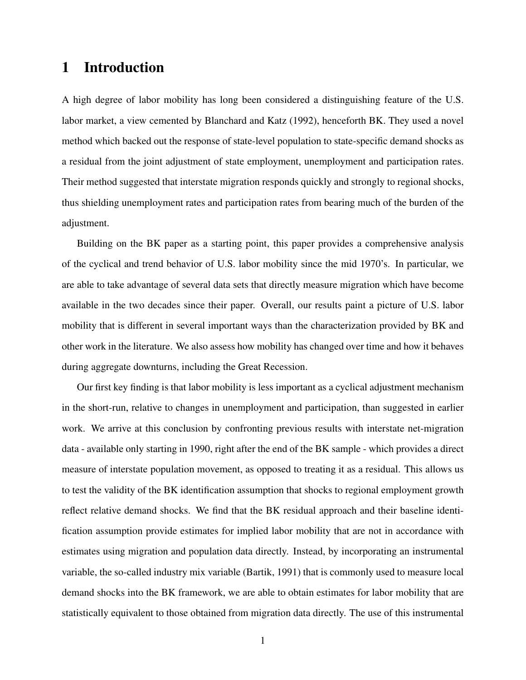## 1 Introduction

A high degree of labor mobility has long been considered a distinguishing feature of the U.S. labor market, a view cemented by Blanchard and Katz (1992), henceforth BK. They used a novel method which backed out the response of state-level population to state-specific demand shocks as a residual from the joint adjustment of state employment, unemployment and participation rates. Their method suggested that interstate migration responds quickly and strongly to regional shocks, thus shielding unemployment rates and participation rates from bearing much of the burden of the adjustment.

Building on the BK paper as a starting point, this paper provides a comprehensive analysis of the cyclical and trend behavior of U.S. labor mobility since the mid 1970's. In particular, we are able to take advantage of several data sets that directly measure migration which have become available in the two decades since their paper. Overall, our results paint a picture of U.S. labor mobility that is different in several important ways than the characterization provided by BK and other work in the literature. We also assess how mobility has changed over time and how it behaves during aggregate downturns, including the Great Recession.

Our first key finding is that labor mobility is less important as a cyclical adjustment mechanism in the short-run, relative to changes in unemployment and participation, than suggested in earlier work. We arrive at this conclusion by confronting previous results with interstate net-migration data - available only starting in 1990, right after the end of the BK sample - which provides a direct measure of interstate population movement, as opposed to treating it as a residual. This allows us to test the validity of the BK identification assumption that shocks to regional employment growth reflect relative demand shocks. We find that the BK residual approach and their baseline identification assumption provide estimates for implied labor mobility that are not in accordance with estimates using migration and population data directly. Instead, by incorporating an instrumental variable, the so-called industry mix variable (Bartik, 1991) that is commonly used to measure local demand shocks into the BK framework, we are able to obtain estimates for labor mobility that are statistically equivalent to those obtained from migration data directly. The use of this instrumental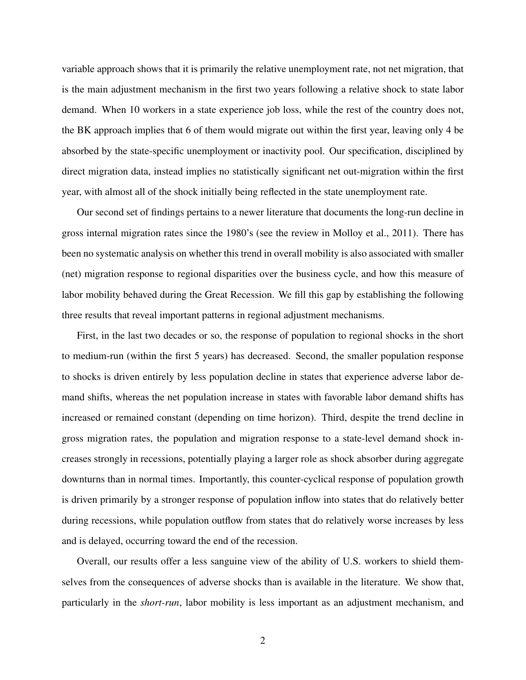variable approach shows that it is primarily the relative unemployment rate, not net migration, that is the main adjustment mechanism in the first two years following a relative shock to state labor demand. When 10 workers in a state experience job loss, while the rest of the country does not, the BK approach implies that 6 of them would migrate out within the first year, leaving only 4 be absorbed by the state-specific unemployment or inactivity pool. Our specification, disciplined by direct migration data, instead implies no statistically significant net out-migration within the first year, with almost all of the shock initially being reflected in the state unemployment rate.

Our second set of findings pertains to a newer literature that documents the long-run decline in gross internal migration rates since the 1980's (see the review in Molloy et al., 2011). There has been no systematic analysis on whether this trend in overall mobility is also associated with smaller (net) migration response to regional disparities over the business cycle, and how this measure of labor mobility behaved during the Great Recession. We fill this gap by establishing the following three results that reveal important patterns in regional adjustment mechanisms.

First, in the last two decades or so, the response of population to regional shocks in the short to medium-run (within the first 5 years) has decreased. Second, the smaller population response to shocks is driven entirely by less population decline in states that experience adverse labor demand shifts, whereas the net population increase in states with favorable labor demand shifts has increased or remained constant (depending on time horizon). Third, despite the trend decline in gross migration rates, the population and migration response to a state-level demand shock increases strongly in recessions, potentially playing a larger role as shock absorber during aggregate downturns than in normal times. Importantly, this counter-cyclical response of population growth is driven primarily by a stronger response of population inflow into states that do relatively better during recessions, while population outflow from states that do relatively worse increases by less and is delayed, occurring toward the end of the recession.

Overall, our results offer a less sanguine view of the ability of U.S. workers to shield themselves from the consequences of adverse shocks than is available in the literature. We show that, particularly in the *short-run*, labor mobility is less important as an adjustment mechanism, and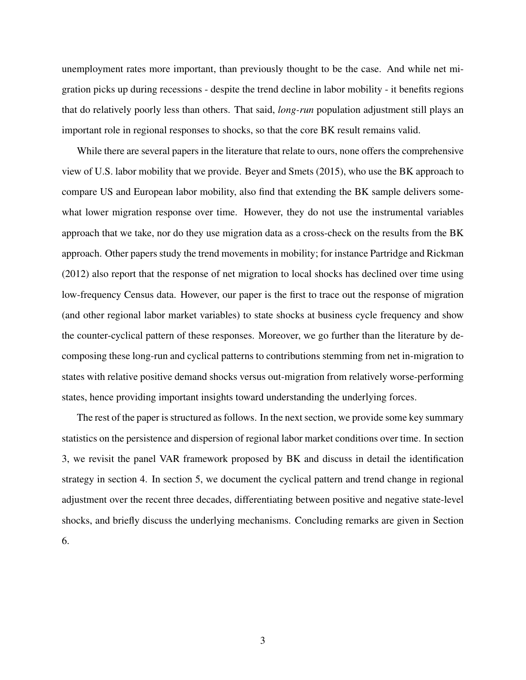unemployment rates more important, than previously thought to be the case. And while net migration picks up during recessions - despite the trend decline in labor mobility - it benefits regions that do relatively poorly less than others. That said, *long-run* population adjustment still plays an important role in regional responses to shocks, so that the core BK result remains valid.

While there are several papers in the literature that relate to ours, none offers the comprehensive view of U.S. labor mobility that we provide. Beyer and Smets (2015), who use the BK approach to compare US and European labor mobility, also find that extending the BK sample delivers somewhat lower migration response over time. However, they do not use the instrumental variables approach that we take, nor do they use migration data as a cross-check on the results from the BK approach. Other papers study the trend movements in mobility; for instance Partridge and Rickman (2012) also report that the response of net migration to local shocks has declined over time using low-frequency Census data. However, our paper is the first to trace out the response of migration (and other regional labor market variables) to state shocks at business cycle frequency and show the counter-cyclical pattern of these responses. Moreover, we go further than the literature by decomposing these long-run and cyclical patterns to contributions stemming from net in-migration to states with relative positive demand shocks versus out-migration from relatively worse-performing states, hence providing important insights toward understanding the underlying forces.

The rest of the paper is structured as follows. In the next section, we provide some key summary statistics on the persistence and dispersion of regional labor market conditions over time. In section 3, we revisit the panel VAR framework proposed by BK and discuss in detail the identification strategy in section 4. In section 5, we document the cyclical pattern and trend change in regional adjustment over the recent three decades, differentiating between positive and negative state-level shocks, and briefly discuss the underlying mechanisms. Concluding remarks are given in Section 6.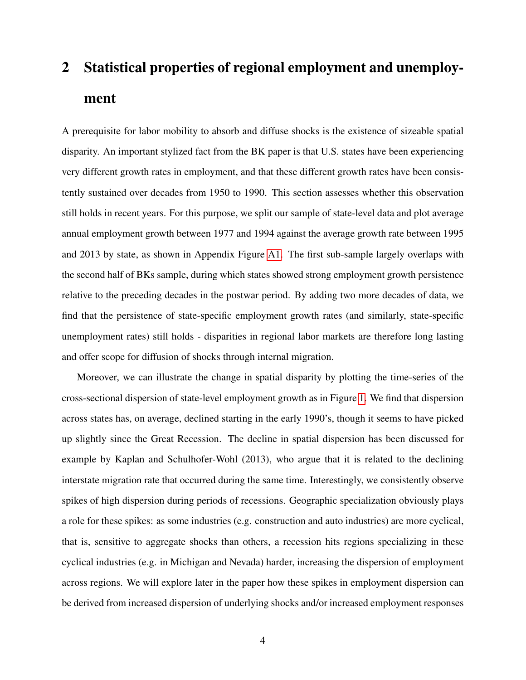# 2 Statistical properties of regional employment and unemployment

A prerequisite for labor mobility to absorb and diffuse shocks is the existence of sizeable spatial disparity. An important stylized fact from the BK paper is that U.S. states have been experiencing very different growth rates in employment, and that these different growth rates have been consistently sustained over decades from 1950 to 1990. This section assesses whether this observation still holds in recent years. For this purpose, we split our sample of state-level data and plot average annual employment growth between 1977 and 1994 against the average growth rate between 1995 and 2013 by state, as shown in Appendix Figure [A1.](#page--1-0) The first sub-sample largely overlaps with the second half of BKs sample, during which states showed strong employment growth persistence relative to the preceding decades in the postwar period. By adding two more decades of data, we find that the persistence of state-specific employment growth rates (and similarly, state-specific unemployment rates) still holds - disparities in regional labor markets are therefore long lasting and offer scope for diffusion of shocks through internal migration.

Moreover, we can illustrate the change in spatial disparity by plotting the time-series of the cross-sectional dispersion of state-level employment growth as in Figure [1.](#page-33-0) We find that dispersion across states has, on average, declined starting in the early 1990's, though it seems to have picked up slightly since the Great Recession. The decline in spatial dispersion has been discussed for example by Kaplan and Schulhofer-Wohl (2013), who argue that it is related to the declining interstate migration rate that occurred during the same time. Interestingly, we consistently observe spikes of high dispersion during periods of recessions. Geographic specialization obviously plays a role for these spikes: as some industries (e.g. construction and auto industries) are more cyclical, that is, sensitive to aggregate shocks than others, a recession hits regions specializing in these cyclical industries (e.g. in Michigan and Nevada) harder, increasing the dispersion of employment across regions. We will explore later in the paper how these spikes in employment dispersion can be derived from increased dispersion of underlying shocks and/or increased employment responses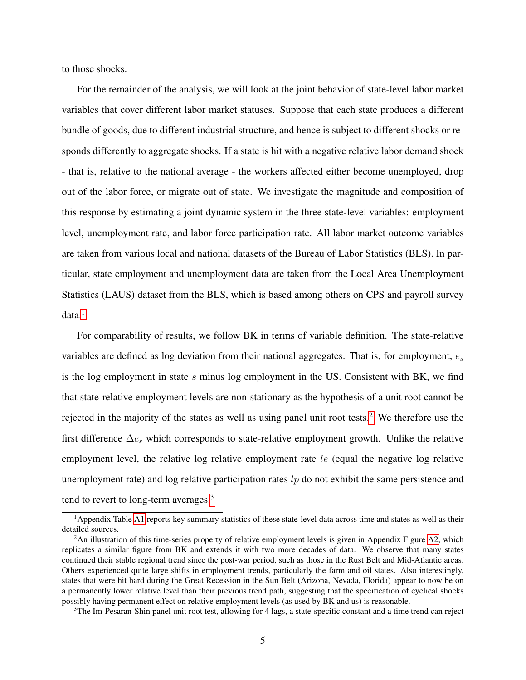to those shocks.

For the remainder of the analysis, we will look at the joint behavior of state-level labor market variables that cover different labor market statuses. Suppose that each state produces a different bundle of goods, due to different industrial structure, and hence is subject to different shocks or responds differently to aggregate shocks. If a state is hit with a negative relative labor demand shock - that is, relative to the national average - the workers affected either become unemployed, drop out of the labor force, or migrate out of state. We investigate the magnitude and composition of this response by estimating a joint dynamic system in the three state-level variables: employment level, unemployment rate, and labor force participation rate. All labor market outcome variables are taken from various local and national datasets of the Bureau of Labor Statistics (BLS). In particular, state employment and unemployment data are taken from the Local Area Unemployment Statistics (LAUS) dataset from the BLS, which is based among others on CPS and payroll survey  $data.<sup>1</sup>$  $data.<sup>1</sup>$  $data.<sup>1</sup>$ 

For comparability of results, we follow BK in terms of variable definition. The state-relative variables are defined as log deviation from their national aggregates. That is, for employment,  $e_s$ is the log employment in state  $s$  minus log employment in the US. Consistent with BK, we find that state-relative employment levels are non-stationary as the hypothesis of a unit root cannot be rejected in the majority of the states as well as using panel unit root tests.<sup>[2](#page-5-1)</sup> We therefore use the first difference  $\Delta e_s$  which corresponds to state-relative employment growth. Unlike the relative employment level, the relative log relative employment rate le (equal the negative log relative unemployment rate) and log relative participation rates  $lp$  do not exhibit the same persistence and tend to revert to long-term averages.<sup>[3](#page-5-2)</sup>

<span id="page-5-0"></span><sup>&</sup>lt;sup>1</sup>Appendix Table [A1](#page--1-1) reports key summary statistics of these state-level data across time and states as well as their detailed sources.

<span id="page-5-1"></span> $2$ An illustration of this time-series property of relative employment levels is given in Appendix Figure [A2,](#page--1-2) which replicates a similar figure from BK and extends it with two more decades of data. We observe that many states continued their stable regional trend since the post-war period, such as those in the Rust Belt and Mid-Atlantic areas. Others experienced quite large shifts in employment trends, particularly the farm and oil states. Also interestingly, states that were hit hard during the Great Recession in the Sun Belt (Arizona, Nevada, Florida) appear to now be on a permanently lower relative level than their previous trend path, suggesting that the specification of cyclical shocks possibly having permanent effect on relative employment levels (as used by BK and us) is reasonable.

<span id="page-5-2"></span><sup>&</sup>lt;sup>3</sup>The Im-Pesaran-Shin panel unit root test, allowing for 4 lags, a state-specific constant and a time trend can reject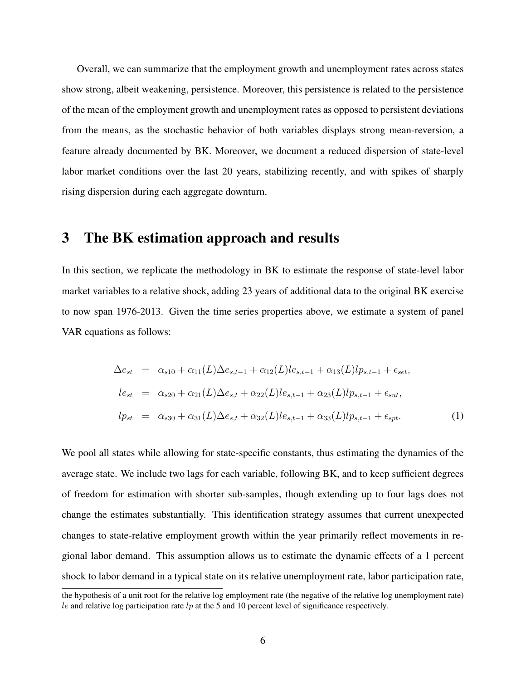Overall, we can summarize that the employment growth and unemployment rates across states show strong, albeit weakening, persistence. Moreover, this persistence is related to the persistence of the mean of the employment growth and unemployment rates as opposed to persistent deviations from the means, as the stochastic behavior of both variables displays strong mean-reversion, a feature already documented by BK. Moreover, we document a reduced dispersion of state-level labor market conditions over the last 20 years, stabilizing recently, and with spikes of sharply rising dispersion during each aggregate downturn.

## 3 The BK estimation approach and results

In this section, we replicate the methodology in BK to estimate the response of state-level labor market variables to a relative shock, adding 23 years of additional data to the original BK exercise to now span 1976-2013. Given the time series properties above, we estimate a system of panel VAR equations as follows:

<span id="page-6-0"></span>
$$
\Delta e_{st} = \alpha_{s10} + \alpha_{11}(L)\Delta e_{s,t-1} + \alpha_{12}(L)le_{s,t-1} + \alpha_{13}(L)lp_{s,t-1} + \epsilon_{set},
$$
\n
$$
le_{st} = \alpha_{s20} + \alpha_{21}(L)\Delta e_{s,t} + \alpha_{22}(L)le_{s,t-1} + \alpha_{23}(L)lp_{s,t-1} + \epsilon_{sut},
$$
\n
$$
lp_{st} = \alpha_{s30} + \alpha_{31}(L)\Delta e_{s,t} + \alpha_{32}(L)le_{s,t-1} + \alpha_{33}(L)lp_{s,t-1} + \epsilon_{spt}.
$$
\n(1)

We pool all states while allowing for state-specific constants, thus estimating the dynamics of the average state. We include two lags for each variable, following BK, and to keep sufficient degrees of freedom for estimation with shorter sub-samples, though extending up to four lags does not change the estimates substantially. This identification strategy assumes that current unexpected changes to state-relative employment growth within the year primarily reflect movements in regional labor demand. This assumption allows us to estimate the dynamic effects of a 1 percent shock to labor demand in a typical state on its relative unemployment rate, labor participation rate,

the hypothesis of a unit root for the relative log employment rate (the negative of the relative log unemployment rate) le and relative log participation rate  $lp$  at the 5 and 10 percent level of significance respectively.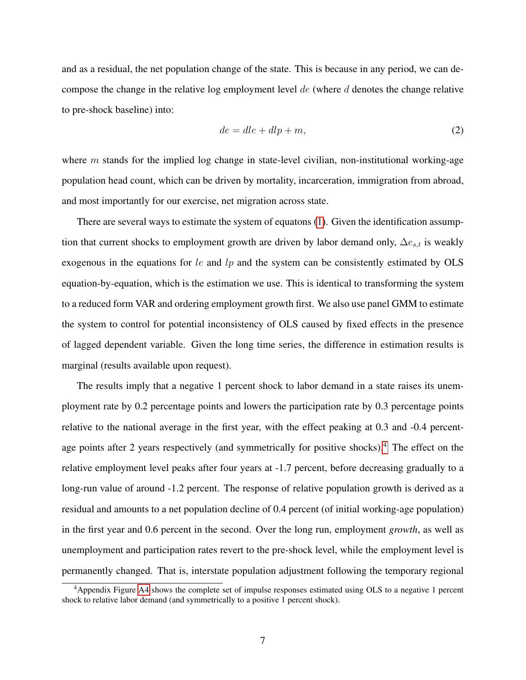and as a residual, the net population change of the state. This is because in any period, we can decompose the change in the relative log employment level  $de$  (where  $d$  denotes the change relative to pre-shock baseline) into:

$$
de = dle + dlp + m,\t\t(2)
$$

where  $m$  stands for the implied log change in state-level civilian, non-institutional working-age population head count, which can be driven by mortality, incarceration, immigration from abroad, and most importantly for our exercise, net migration across state.

There are several ways to estimate the system of equatons [\(1\)](#page-6-0). Given the identification assumption that current shocks to employment growth are driven by labor demand only,  $\Delta e_{s,t}$  is weakly exogenous in the equations for le and lp and the system can be consistently estimated by OLS equation-by-equation, which is the estimation we use. This is identical to transforming the system to a reduced form VAR and ordering employment growth first. We also use panel GMM to estimate the system to control for potential inconsistency of OLS caused by fixed effects in the presence of lagged dependent variable. Given the long time series, the difference in estimation results is marginal (results available upon request).

The results imply that a negative 1 percent shock to labor demand in a state raises its unemployment rate by 0.2 percentage points and lowers the participation rate by 0.3 percentage points relative to the national average in the first year, with the effect peaking at 0.3 and -0.4 percent-age points after 2 years respectively (and symmetrically for positive shocks).<sup>[4](#page-7-0)</sup> The effect on the relative employment level peaks after four years at -1.7 percent, before decreasing gradually to a long-run value of around  $-1.2$  percent. The response of relative population growth is derived as a residual and amounts to a net population decline of 0.4 percent (of initial working-age population) in the first year and 0.6 percent in the second. Over the long run, employment *growth*, as well as unemployment and participation rates revert to the pre-shock level, while the employment level is permanently changed. That is, interstate population adjustment following the temporary regional

<span id="page-7-0"></span><sup>4</sup>Appendix Figure [A4](#page--1-3) shows the complete set of impulse responses estimated using OLS to a negative 1 percent shock to relative labor demand (and symmetrically to a positive 1 percent shock).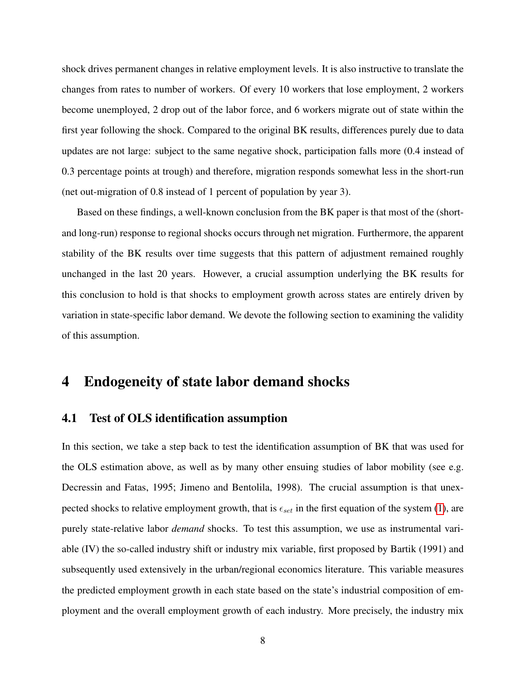shock drives permanent changes in relative employment levels. It is also instructive to translate the changes from rates to number of workers. Of every 10 workers that lose employment, 2 workers become unemployed, 2 drop out of the labor force, and 6 workers migrate out of state within the first year following the shock. Compared to the original BK results, differences purely due to data updates are not large: subject to the same negative shock, participation falls more (0.4 instead of 0.3 percentage points at trough) and therefore, migration responds somewhat less in the short-run (net out-migration of 0.8 instead of 1 percent of population by year 3).

Based on these findings, a well-known conclusion from the BK paper is that most of the (shortand long-run) response to regional shocks occurs through net migration. Furthermore, the apparent stability of the BK results over time suggests that this pattern of adjustment remained roughly unchanged in the last 20 years. However, a crucial assumption underlying the BK results for this conclusion to hold is that shocks to employment growth across states are entirely driven by variation in state-specific labor demand. We devote the following section to examining the validity of this assumption.

## 4 Endogeneity of state labor demand shocks

#### 4.1 Test of OLS identification assumption

In this section, we take a step back to test the identification assumption of BK that was used for the OLS estimation above, as well as by many other ensuing studies of labor mobility (see e.g. Decressin and Fatas, 1995; Jimeno and Bentolila, 1998). The crucial assumption is that unexpected shocks to relative employment growth, that is  $\epsilon_{set}$  in the first equation of the system [\(1\)](#page-6-0), are purely state-relative labor *demand* shocks. To test this assumption, we use as instrumental variable (IV) the so-called industry shift or industry mix variable, first proposed by Bartik (1991) and subsequently used extensively in the urban/regional economics literature. This variable measures the predicted employment growth in each state based on the state's industrial composition of employment and the overall employment growth of each industry. More precisely, the industry mix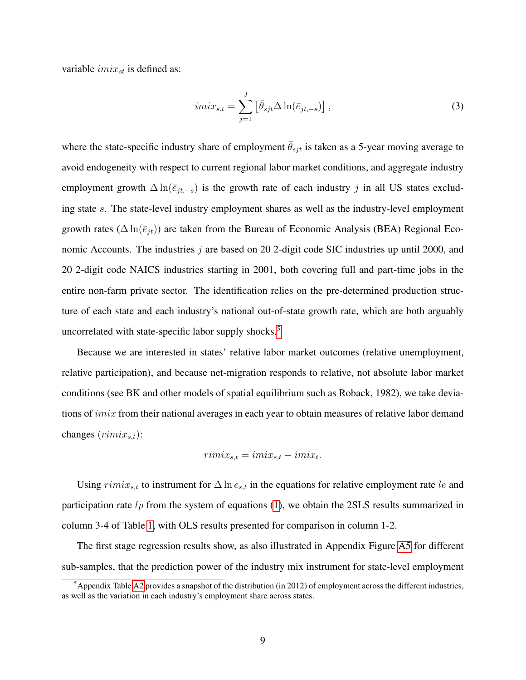variable  $imix_{st}$  is defined as:

<span id="page-9-1"></span>
$$
imix_{s,t} = \sum_{j=1}^{J} \left[ \bar{\theta}_{sjt} \Delta \ln(\bar{e}_{jt,-s}) \right],
$$
\n(3)

where the state-specific industry share of employment  $\bar{\theta}_{sjt}$  is taken as a 5-year moving average to avoid endogeneity with respect to current regional labor market conditions, and aggregate industry employment growth  $\Delta \ln(\bar{e}_{jt,-s})$  is the growth rate of each industry j in all US states excluding state s. The state-level industry employment shares as well as the industry-level employment growth rates ( $\Delta \ln(\bar{e}_{it})$ ) are taken from the Bureau of Economic Analysis (BEA) Regional Economic Accounts. The industries j are based on 20 2-digit code SIC industries up until 2000, and 20 2-digit code NAICS industries starting in 2001, both covering full and part-time jobs in the entire non-farm private sector. The identification relies on the pre-determined production structure of each state and each industry's national out-of-state growth rate, which are both arguably uncorrelated with state-specific labor supply shocks.<sup>[5](#page-9-0)</sup>

Because we are interested in states' relative labor market outcomes (relative unemployment, relative participation), and because net-migration responds to relative, not absolute labor market conditions (see BK and other models of spatial equilibrium such as Roback, 1982), we take deviations of *imix* from their national averages in each year to obtain measures of relative labor demand changes  $(rimix_{s,t})$ :

$$
rimix_{s,t} = imix_{s,t} - \overline{imix_t}.
$$

Using  $rimix_{s,t}$  to instrument for  $\Delta \ln e_{s,t}$  in the equations for relative employment rate le and participation rate  $lp$  from the system of equations [\(1\)](#page-6-0), we obtain the 2SLS results summarized in column 3-4 of Table [1,](#page-31-0) with OLS results presented for comparison in column 1-2.

The first stage regression results show, as also illustrated in Appendix Figure [A5](#page--1-4) for different sub-samples, that the prediction power of the industry mix instrument for state-level employment

<span id="page-9-0"></span> $5A$ ppendix Table [A2](#page--1-5) provides a snapshot of the distribution (in 2012) of employment across the different industries, as well as the variation in each industry's employment share across states.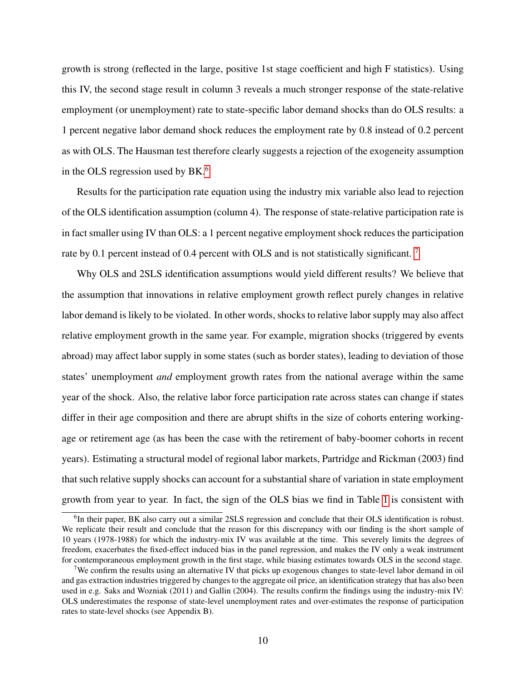growth is strong (reflected in the large, positive 1st stage coefficient and high F statistics). Using this IV, the second stage result in column 3 reveals a much stronger response of the state-relative employment (or unemployment) rate to state-specific labor demand shocks than do OLS results: a 1 percent negative labor demand shock reduces the employment rate by 0.8 instead of 0.2 percent as with OLS. The Hausman test therefore clearly suggests a rejection of the exogeneity assumption in the OLS regression used by  $BK<sup>6</sup>$  $BK<sup>6</sup>$  $BK<sup>6</sup>$ .

Results for the participation rate equation using the industry mix variable also lead to rejection of the OLS identification assumption (column 4). The response of state-relative participation rate is in fact smaller using IV than OLS: a 1 percent negative employment shock reduces the participation rate by 0.1 percent instead of 0.4 percent with OLS and is not statistically significant.<sup>[7](#page-10-1)</sup>

Why OLS and 2SLS identification assumptions would yield different results? We believe that the assumption that innovations in relative employment growth reflect purely changes in relative labor demand is likely to be violated. In other words, shocks to relative labor supply may also affect relative employment growth in the same year. For example, migration shocks (triggered by events abroad) may affect labor supply in some states (such as border states), leading to deviation of those states' unemployment *and* employment growth rates from the national average within the same year of the shock. Also, the relative labor force participation rate across states can change if states differ in their age composition and there are abrupt shifts in the size of cohorts entering workingage or retirement age (as has been the case with the retirement of baby-boomer cohorts in recent years). Estimating a structural model of regional labor markets, Partridge and Rickman (2003) find that such relative supply shocks can account for a substantial share of variation in state employment growth from year to year. In fact, the sign of the OLS bias we find in Table [1](#page-31-0) is consistent with

<span id="page-10-0"></span><sup>&</sup>lt;sup>6</sup>In their paper, BK also carry out a similar 2SLS regression and conclude that their OLS identification is robust. We replicate their result and conclude that the reason for this discrepancy with our finding is the short sample of 10 years (1978-1988) for which the industry-mix IV was available at the time. This severely limits the degrees of freedom, exacerbates the fixed-effect induced bias in the panel regression, and makes the IV only a weak instrument for contemporaneous employment growth in the first stage, while biasing estimates towards OLS in the second stage.

<span id="page-10-1"></span><sup>&</sup>lt;sup>7</sup>We confirm the results using an alternative IV that picks up exogenous changes to state-level labor demand in oil and gas extraction industries triggered by changes to the aggregate oil price, an identification strategy that has also been used in e.g. Saks and Wozniak (2011) and Gallin (2004). The results confirm the findings using the industry-mix IV: OLS underestimates the response of state-level unemployment rates and over-estimates the response of participation rates to state-level shocks (see Appendix B).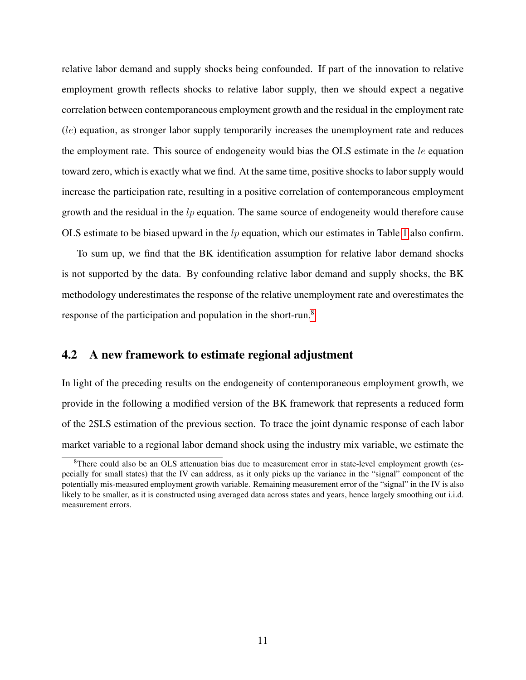relative labor demand and supply shocks being confounded. If part of the innovation to relative employment growth reflects shocks to relative labor supply, then we should expect a negative correlation between contemporaneous employment growth and the residual in the employment rate  $(le)$  equation, as stronger labor supply temporarily increases the unemployment rate and reduces the employment rate. This source of endogeneity would bias the OLS estimate in the  $le$  equation toward zero, which is exactly what we find. At the same time, positive shocks to labor supply would increase the participation rate, resulting in a positive correlation of contemporaneous employment growth and the residual in the  $lp$  equation. The same source of endogeneity would therefore cause OLS estimate to be biased upward in the  $lp$  equation, which our estimates in Table [1](#page-31-0) also confirm.

To sum up, we find that the BK identification assumption for relative labor demand shocks is not supported by the data. By confounding relative labor demand and supply shocks, the BK methodology underestimates the response of the relative unemployment rate and overestimates the response of the participation and population in the short-run.[8](#page-11-0)

#### 4.2 A new framework to estimate regional adjustment

In light of the preceding results on the endogeneity of contemporaneous employment growth, we provide in the following a modified version of the BK framework that represents a reduced form of the 2SLS estimation of the previous section. To trace the joint dynamic response of each labor market variable to a regional labor demand shock using the industry mix variable, we estimate the

<span id="page-11-0"></span><sup>&</sup>lt;sup>8</sup>There could also be an OLS attenuation bias due to measurement error in state-level employment growth (especially for small states) that the IV can address, as it only picks up the variance in the "signal" component of the potentially mis-measured employment growth variable. Remaining measurement error of the "signal" in the IV is also likely to be smaller, as it is constructed using averaged data across states and years, hence largely smoothing out i.i.d. measurement errors.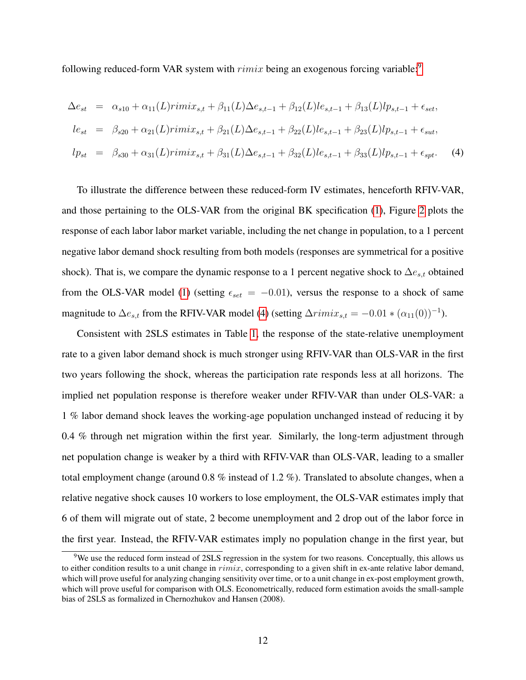following reduced-form VAR system with  $rimix$  being an exogenous forcing variable:<sup>[9](#page-12-0)</sup>

<span id="page-12-1"></span>
$$
\Delta e_{st} = \alpha_{s10} + \alpha_{11}(L)rimix_{s,t} + \beta_{11}(L)\Delta e_{s,t-1} + \beta_{12}(L)le_{s,t-1} + \beta_{13}(L)lp_{s,t-1} + \epsilon_{set},
$$
  
\n
$$
le_{st} = \beta_{s20} + \alpha_{21}(L)rimix_{s,t} + \beta_{21}(L)\Delta e_{s,t-1} + \beta_{22}(L)le_{s,t-1} + \beta_{23}(L)lp_{s,t-1} + \epsilon_{sut},
$$
  
\n
$$
lp_{st} = \beta_{s30} + \alpha_{31}(L)rimix_{s,t} + \beta_{31}(L)\Delta e_{s,t-1} + \beta_{32}(L)le_{s,t-1} + \beta_{33}(L)lp_{s,t-1} + \epsilon_{spt}. \tag{4}
$$

To illustrate the difference between these reduced-form IV estimates, henceforth RFIV-VAR, and those pertaining to the OLS-VAR from the original BK specification [\(1\)](#page-6-0), Figure [2](#page-34-0) plots the response of each labor labor market variable, including the net change in population, to a 1 percent negative labor demand shock resulting from both models (responses are symmetrical for a positive shock). That is, we compare the dynamic response to a 1 percent negative shock to  $\Delta e_{s,t}$  obtained from the OLS-VAR model [\(1\)](#page-6-0) (setting  $\epsilon_{set} = -0.01$ ), versus the response to a shock of same magnitude to  $\Delta e_{s,t}$  from the RFIV-VAR model [\(4\)](#page-12-1) (setting  $\Delta$ rimi $x_{s,t} = -0.01 * (\alpha_{11}(0))^{-1}$ ).

Consistent with 2SLS estimates in Table [1,](#page-31-0) the response of the state-relative unemployment rate to a given labor demand shock is much stronger using RFIV-VAR than OLS-VAR in the first two years following the shock, whereas the participation rate responds less at all horizons. The implied net population response is therefore weaker under RFIV-VAR than under OLS-VAR: a 1 % labor demand shock leaves the working-age population unchanged instead of reducing it by 0.4 % through net migration within the first year. Similarly, the long-term adjustment through net population change is weaker by a third with RFIV-VAR than OLS-VAR, leading to a smaller total employment change (around 0.8 % instead of 1.2 %). Translated to absolute changes, when a relative negative shock causes 10 workers to lose employment, the OLS-VAR estimates imply that 6 of them will migrate out of state, 2 become unemployment and 2 drop out of the labor force in the first year. Instead, the RFIV-VAR estimates imply no population change in the first year, but

<span id="page-12-0"></span><sup>&</sup>lt;sup>9</sup>We use the reduced form instead of 2SLS regression in the system for two reasons. Conceptually, this allows us to either condition results to a unit change in  $rimix$ , corresponding to a given shift in ex-ante relative labor demand, which will prove useful for analyzing changing sensitivity over time, or to a unit change in ex-post employment growth, which will prove useful for comparison with OLS. Econometrically, reduced form estimation avoids the small-sample bias of 2SLS as formalized in Chernozhukov and Hansen (2008).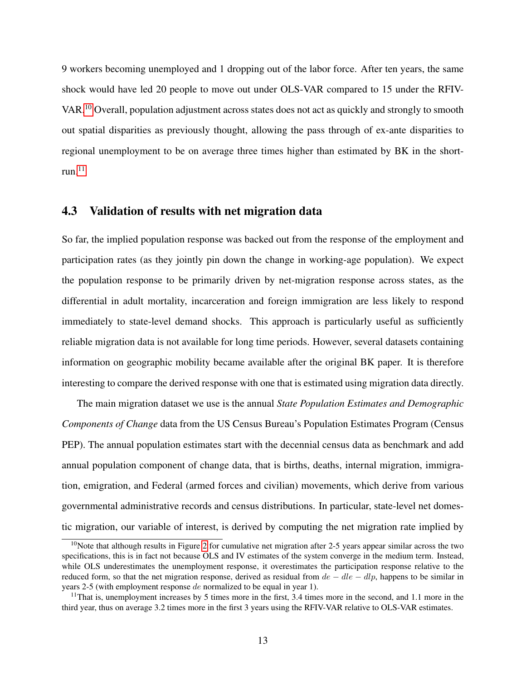9 workers becoming unemployed and 1 dropping out of the labor force. After ten years, the same shock would have led 20 people to move out under OLS-VAR compared to 15 under the RFIV-VAR.[10](#page-13-0) Overall, population adjustment across states does not act as quickly and strongly to smooth out spatial disparities as previously thought, allowing the pass through of ex-ante disparities to regional unemployment to be on average three times higher than estimated by BK in the shortrun. $^{11}$  $^{11}$  $^{11}$ 

#### 4.3 Validation of results with net migration data

So far, the implied population response was backed out from the response of the employment and participation rates (as they jointly pin down the change in working-age population). We expect the population response to be primarily driven by net-migration response across states, as the differential in adult mortality, incarceration and foreign immigration are less likely to respond immediately to state-level demand shocks. This approach is particularly useful as sufficiently reliable migration data is not available for long time periods. However, several datasets containing information on geographic mobility became available after the original BK paper. It is therefore interesting to compare the derived response with one that is estimated using migration data directly.

The main migration dataset we use is the annual *State Population Estimates and Demographic Components of Change* data from the US Census Bureau's Population Estimates Program (Census PEP). The annual population estimates start with the decennial census data as benchmark and add annual population component of change data, that is births, deaths, internal migration, immigration, emigration, and Federal (armed forces and civilian) movements, which derive from various governmental administrative records and census distributions. In particular, state-level net domestic migration, our variable of interest, is derived by computing the net migration rate implied by

<span id="page-13-0"></span> $10$ Note that although results in Figure [2](#page-34-0) for cumulative net migration after 2-5 years appear similar across the two specifications, this is in fact not because OLS and IV estimates of the system converge in the medium term. Instead, while OLS underestimates the unemployment response, it overestimates the participation response relative to the reduced form, so that the net migration response, derived as residual from  $de - dle - dlp$ , happens to be similar in years 2-5 (with employment response de normalized to be equal in year 1).

<span id="page-13-1"></span><sup>&</sup>lt;sup>11</sup>That is, unemployment increases by 5 times more in the first, 3.4 times more in the second, and 1.1 more in the third year, thus on average 3.2 times more in the first 3 years using the RFIV-VAR relative to OLS-VAR estimates.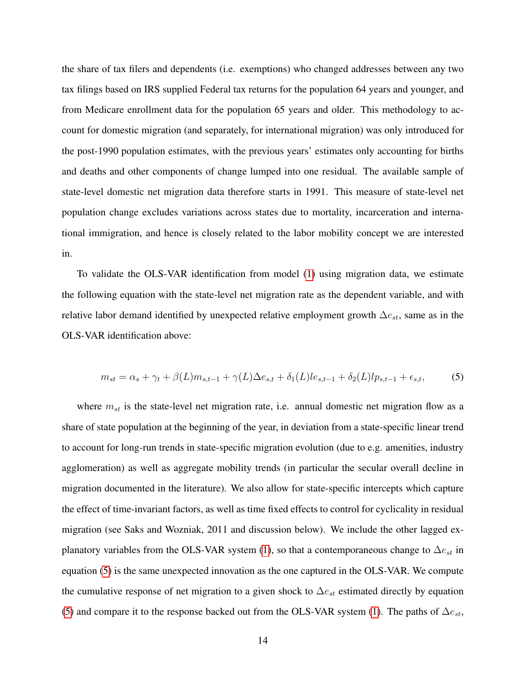the share of tax filers and dependents (i.e. exemptions) who changed addresses between any two tax filings based on IRS supplied Federal tax returns for the population 64 years and younger, and from Medicare enrollment data for the population 65 years and older. This methodology to account for domestic migration (and separately, for international migration) was only introduced for the post-1990 population estimates, with the previous years' estimates only accounting for births and deaths and other components of change lumped into one residual. The available sample of state-level domestic net migration data therefore starts in 1991. This measure of state-level net population change excludes variations across states due to mortality, incarceration and international immigration, and hence is closely related to the labor mobility concept we are interested in.

To validate the OLS-VAR identification from model [\(1\)](#page-6-0) using migration data, we estimate the following equation with the state-level net migration rate as the dependent variable, and with relative labor demand identified by unexpected relative employment growth  $\Delta e_{st}$ , same as in the OLS-VAR identification above:

<span id="page-14-0"></span>
$$
m_{st} = \alpha_s + \gamma_t + \beta(L)m_{s,t-1} + \gamma(L)\Delta e_{s,t} + \delta_1(L)le_{s,t-1} + \delta_2(L)lp_{s,t-1} + \epsilon_{s,t},
$$
 (5)

where  $m_{st}$  is the state-level net migration rate, i.e. annual domestic net migration flow as a share of state population at the beginning of the year, in deviation from a state-specific linear trend to account for long-run trends in state-specific migration evolution (due to e.g. amenities, industry agglomeration) as well as aggregate mobility trends (in particular the secular overall decline in migration documented in the literature). We also allow for state-specific intercepts which capture the effect of time-invariant factors, as well as time fixed effects to control for cyclicality in residual migration (see Saks and Wozniak, 2011 and discussion below). We include the other lagged ex-planatory variables from the OLS-VAR system [\(1\)](#page-6-0), so that a contemporaneous change to  $\Delta e_{st}$  in equation [\(5\)](#page-14-0) is the same unexpected innovation as the one captured in the OLS-VAR. We compute the cumulative response of net migration to a given shock to  $\Delta e_{st}$  estimated directly by equation [\(5\)](#page-14-0) and compare it to the response backed out from the OLS-VAR system [\(1\)](#page-6-0). The paths of  $\Delta e_{st}$ ,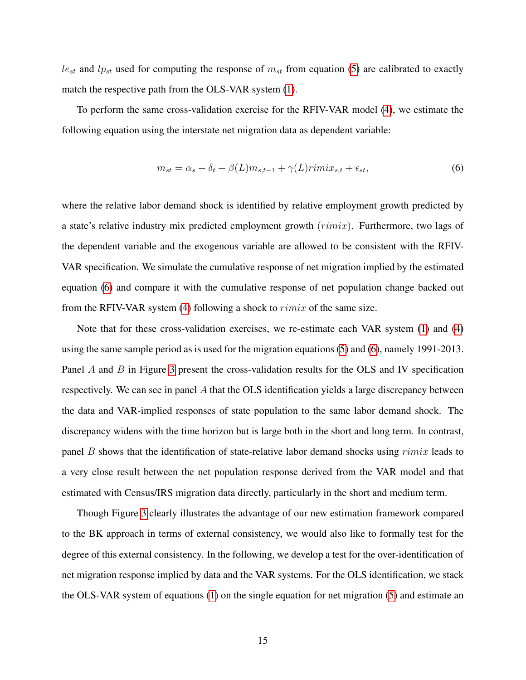$le_{st}$  and  $lp_{st}$  used for computing the response of  $m_{st}$  from equation [\(5\)](#page-14-0) are calibrated to exactly match the respective path from the OLS-VAR system [\(1\)](#page-6-0).

To perform the same cross-validation exercise for the RFIV-VAR model [\(4\)](#page-12-1), we estimate the following equation using the interstate net migration data as dependent variable:

<span id="page-15-0"></span>
$$
m_{st} = \alpha_s + \delta_t + \beta(L)m_{s,t-1} + \gamma(L)rimix_{s,t} + \epsilon_{st},\tag{6}
$$

where the relative labor demand shock is identified by relative employment growth predicted by a state's relative industry mix predicted employment growth (rimix). Furthermore, two lags of the dependent variable and the exogenous variable are allowed to be consistent with the RFIV-VAR specification. We simulate the cumulative response of net migration implied by the estimated equation [\(6\)](#page-15-0) and compare it with the cumulative response of net population change backed out from the RFIV-VAR system [\(4\)](#page-12-1) following a shock to rimix of the same size.

Note that for these cross-validation exercises, we re-estimate each VAR system [\(1\)](#page-6-0) and [\(4\)](#page-12-1) using the same sample period as is used for the migration equations [\(5\)](#page-14-0) and [\(6\)](#page-15-0), namely 1991-2013. Panel  $A$  and  $B$  in Figure [3](#page-35-0) present the cross-validation results for the OLS and IV specification respectively. We can see in panel A that the OLS identification yields a large discrepancy between the data and VAR-implied responses of state population to the same labor demand shock. The discrepancy widens with the time horizon but is large both in the short and long term. In contrast, panel  $B$  shows that the identification of state-relative labor demand shocks using  $\text{r} \text{ } \text{ } \text{ } \text{ } \text{ } \text{ } \text{ }$  rimix leads to a very close result between the net population response derived from the VAR model and that estimated with Census/IRS migration data directly, particularly in the short and medium term.

Though Figure [3](#page-35-0) clearly illustrates the advantage of our new estimation framework compared to the BK approach in terms of external consistency, we would also like to formally test for the degree of this external consistency. In the following, we develop a test for the over-identification of net migration response implied by data and the VAR systems. For the OLS identification, we stack the OLS-VAR system of equations [\(1\)](#page-6-0) on the single equation for net migration [\(5\)](#page-14-0) and estimate an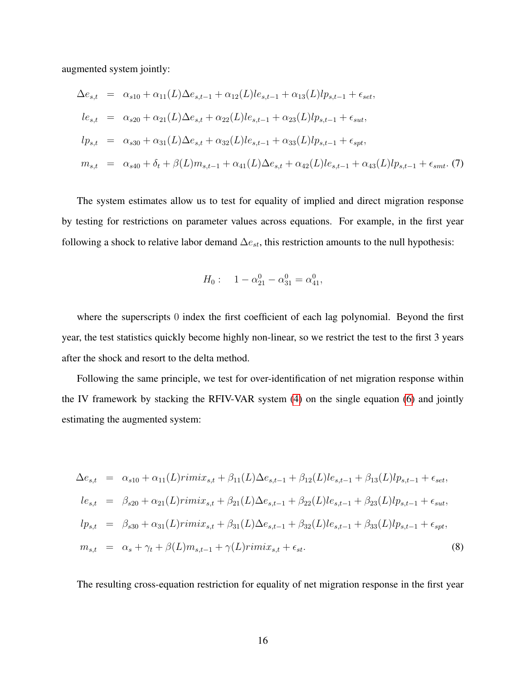augmented system jointly:

<span id="page-16-0"></span>
$$
\Delta e_{s,t} = \alpha_{s10} + \alpha_{11}(L)\Delta e_{s,t-1} + \alpha_{12}(L)le_{s,t-1} + \alpha_{13}(L)lp_{s,t-1} + \epsilon_{set},
$$
\n
$$
le_{s,t} = \alpha_{s20} + \alpha_{21}(L)\Delta e_{s,t} + \alpha_{22}(L)le_{s,t-1} + \alpha_{23}(L)lp_{s,t-1} + \epsilon_{sut},
$$
\n
$$
lp_{s,t} = \alpha_{s30} + \alpha_{31}(L)\Delta e_{s,t} + \alpha_{32}(L)le_{s,t-1} + \alpha_{33}(L)lp_{s,t-1} + \epsilon_{spt},
$$
\n
$$
m_{s,t} = \alpha_{s40} + \delta_t + \beta(L)m_{s,t-1} + \alpha_{41}(L)\Delta e_{s,t} + \alpha_{42}(L)le_{s,t-1} + \alpha_{43}(L)lp_{s,t-1} + \epsilon_{smt}.
$$
\n(7)

The system estimates allow us to test for equality of implied and direct migration response by testing for restrictions on parameter values across equations. For example, in the first year following a shock to relative labor demand  $\Delta e_{st}$ , this restriction amounts to the null hypothesis:

$$
H_0: \quad 1 - \alpha_{21}^0 - \alpha_{31}^0 = \alpha_{41}^0,
$$

where the superscripts 0 index the first coefficient of each lag polynomial. Beyond the first year, the test statistics quickly become highly non-linear, so we restrict the test to the first 3 years after the shock and resort to the delta method.

Following the same principle, we test for over-identification of net migration response within the IV framework by stacking the RFIV-VAR system [\(4\)](#page-12-1) on the single equation [\(6\)](#page-15-0) and jointly estimating the augmented system:

<span id="page-16-1"></span>
$$
\Delta e_{s,t} = \alpha_{s10} + \alpha_{11}(L)rimix_{s,t} + \beta_{11}(L)\Delta e_{s,t-1} + \beta_{12}(L)le_{s,t-1} + \beta_{13}(L)lp_{s,t-1} + \epsilon_{set},
$$
  
\n
$$
le_{s,t} = \beta_{s20} + \alpha_{21}(L)rimix_{s,t} + \beta_{21}(L)\Delta e_{s,t-1} + \beta_{22}(L)le_{s,t-1} + \beta_{23}(L)lp_{s,t-1} + \epsilon_{sut},
$$
  
\n
$$
lp_{s,t} = \beta_{s30} + \alpha_{31}(L)rimix_{s,t} + \beta_{31}(L)\Delta e_{s,t-1} + \beta_{32}(L)le_{s,t-1} + \beta_{33}(L)lp_{s,t-1} + \epsilon_{spt},
$$
  
\n
$$
m_{s,t} = \alpha_s + \gamma_t + \beta(L)m_{s,t-1} + \gamma(L)rimix_{s,t} + \epsilon_{st}.
$$
  
\n(8)

The resulting cross-equation restriction for equality of net migration response in the first year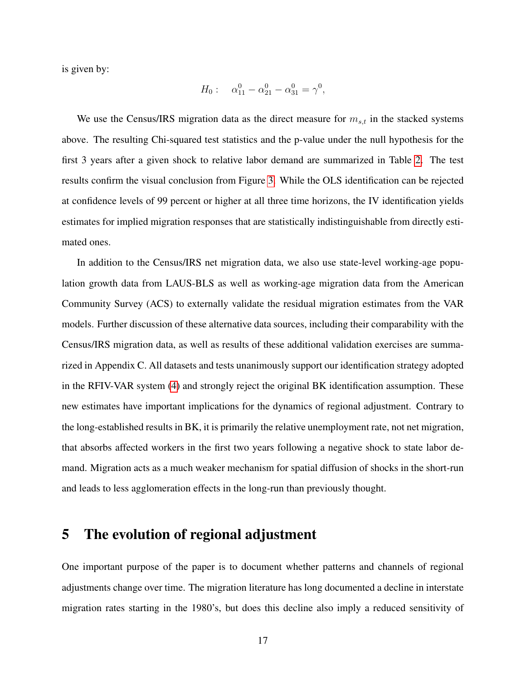is given by:

$$
H_0: \quad \alpha_{11}^0 - \alpha_{21}^0 - \alpha_{31}^0 = \gamma^0,
$$

We use the Census/IRS migration data as the direct measure for  $m_{s,t}$  in the stacked systems above. The resulting Chi-squared test statistics and the p-value under the null hypothesis for the first 3 years after a given shock to relative labor demand are summarized in Table [2.](#page-32-0) The test results confirm the visual conclusion from Figure [3.](#page-35-0) While the OLS identification can be rejected at confidence levels of 99 percent or higher at all three time horizons, the IV identification yields estimates for implied migration responses that are statistically indistinguishable from directly estimated ones.

In addition to the Census/IRS net migration data, we also use state-level working-age population growth data from LAUS-BLS as well as working-age migration data from the American Community Survey (ACS) to externally validate the residual migration estimates from the VAR models. Further discussion of these alternative data sources, including their comparability with the Census/IRS migration data, as well as results of these additional validation exercises are summarized in Appendix C. All datasets and tests unanimously support our identification strategy adopted in the RFIV-VAR system [\(4\)](#page-12-1) and strongly reject the original BK identification assumption. These new estimates have important implications for the dynamics of regional adjustment. Contrary to the long-established results in BK, it is primarily the relative unemployment rate, not net migration, that absorbs affected workers in the first two years following a negative shock to state labor demand. Migration acts as a much weaker mechanism for spatial diffusion of shocks in the short-run and leads to less agglomeration effects in the long-run than previously thought.

## 5 The evolution of regional adjustment

One important purpose of the paper is to document whether patterns and channels of regional adjustments change over time. The migration literature has long documented a decline in interstate migration rates starting in the 1980's, but does this decline also imply a reduced sensitivity of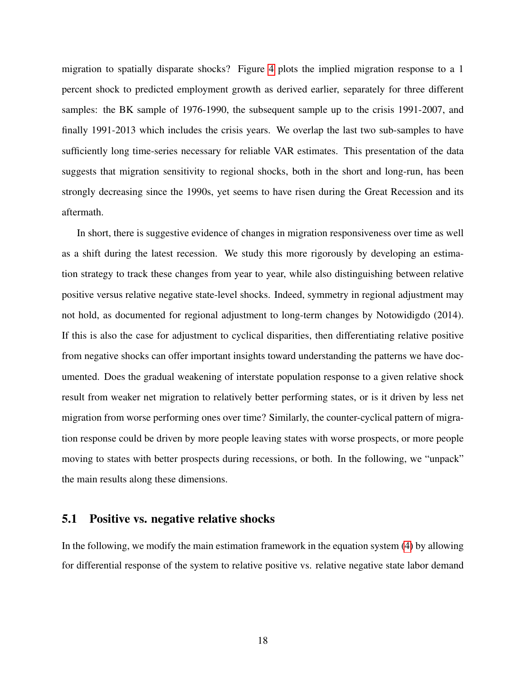migration to spatially disparate shocks? Figure [4](#page-36-0) plots the implied migration response to a 1 percent shock to predicted employment growth as derived earlier, separately for three different samples: the BK sample of 1976-1990, the subsequent sample up to the crisis 1991-2007, and finally 1991-2013 which includes the crisis years. We overlap the last two sub-samples to have sufficiently long time-series necessary for reliable VAR estimates. This presentation of the data suggests that migration sensitivity to regional shocks, both in the short and long-run, has been strongly decreasing since the 1990s, yet seems to have risen during the Great Recession and its aftermath.

In short, there is suggestive evidence of changes in migration responsiveness over time as well as a shift during the latest recession. We study this more rigorously by developing an estimation strategy to track these changes from year to year, while also distinguishing between relative positive versus relative negative state-level shocks. Indeed, symmetry in regional adjustment may not hold, as documented for regional adjustment to long-term changes by Notowidigdo (2014). If this is also the case for adjustment to cyclical disparities, then differentiating relative positive from negative shocks can offer important insights toward understanding the patterns we have documented. Does the gradual weakening of interstate population response to a given relative shock result from weaker net migration to relatively better performing states, or is it driven by less net migration from worse performing ones over time? Similarly, the counter-cyclical pattern of migration response could be driven by more people leaving states with worse prospects, or more people moving to states with better prospects during recessions, or both. In the following, we "unpack" the main results along these dimensions.

#### 5.1 Positive vs. negative relative shocks

In the following, we modify the main estimation framework in the equation system [\(4\)](#page-12-1) by allowing for differential response of the system to relative positive vs. relative negative state labor demand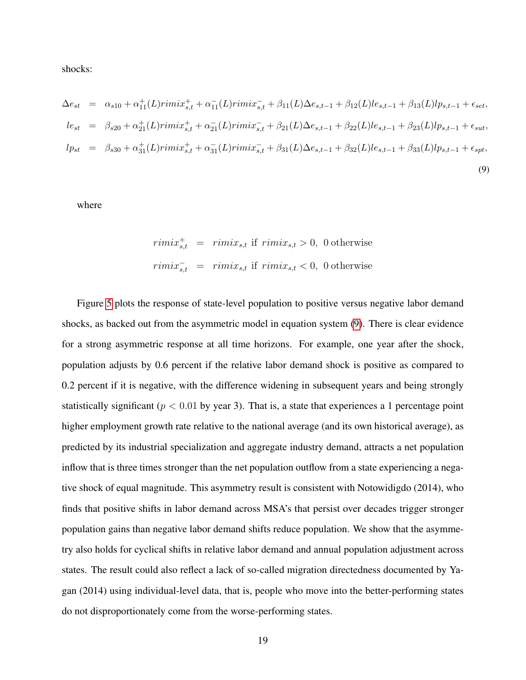shocks:

<span id="page-19-0"></span>
$$
\Delta e_{st} = \alpha_{s10} + \alpha_{11}^{+}(L)rimix_{s,t}^{+} + \alpha_{11}^{-}(L)rimix_{s,t}^{-} + \beta_{11}(L)\Delta e_{s,t-1} + \beta_{12}(L)le_{s,t-1} + \beta_{13}(L)lp_{s,t-1} + \epsilon_{set},
$$
  
\n
$$
le_{st} = \beta_{s20} + \alpha_{21}^{+}(L)rimix_{s,t}^{+} + \alpha_{21}^{-}(L)rimix_{s,t}^{-} + \beta_{21}(L)\Delta e_{s,t-1} + \beta_{22}(L)le_{s,t-1} + \beta_{23}(L)lp_{s,t-1} + \epsilon_{sut},
$$
  
\n
$$
lp_{st} = \beta_{s30} + \alpha_{31}^{+}(L)rimix_{s,t}^{+} + \alpha_{31}^{-}(L)rimix_{s,t}^{-} + \beta_{31}(L)\Delta e_{s,t-1} + \beta_{32}(L)le_{s,t-1} + \beta_{33}(L)lp_{s,t-1} + \epsilon_{spt},
$$
\n(9)

where

<span id="page-19-1"></span>
$$
rimi x_{s,t}^{+} = rimi x_{s,t} \text{ if } rimi x_{s,t} > 0, \text{ 0 otherwise}
$$
\n
$$
rimi x_{s,t}^{-} = rimi x_{s,t} \text{ if } rimi x_{s,t} < 0, \text{ 0 otherwise}
$$

Figure [5](#page-37-0) plots the response of state-level population to positive versus negative labor demand shocks, as backed out from the asymmetric model in equation system [\(9\)](#page-19-0). There is clear evidence for a strong asymmetric response at all time horizons. For example, one year after the shock, population adjusts by 0.6 percent if the relative labor demand shock is positive as compared to 0.2 percent if it is negative, with the difference widening in subsequent years and being strongly statistically significant ( $p < 0.01$  by year 3). That is, a state that experiences a 1 percentage point higher employment growth rate relative to the national average (and its own historical average), as predicted by its industrial specialization and aggregate industry demand, attracts a net population inflow that is three times stronger than the net population outflow from a state experiencing a negative shock of equal magnitude. This asymmetry result is consistent with Notowidigdo (2014), who finds that positive shifts in labor demand across MSA's that persist over decades trigger stronger population gains than negative labor demand shifts reduce population. We show that the asymmetry also holds for cyclical shifts in relative labor demand and annual population adjustment across states. The result could also reflect a lack of so-called migration directedness documented by Yagan (2014) using individual-level data, that is, people who move into the better-performing states do not disproportionately come from the worse-performing states.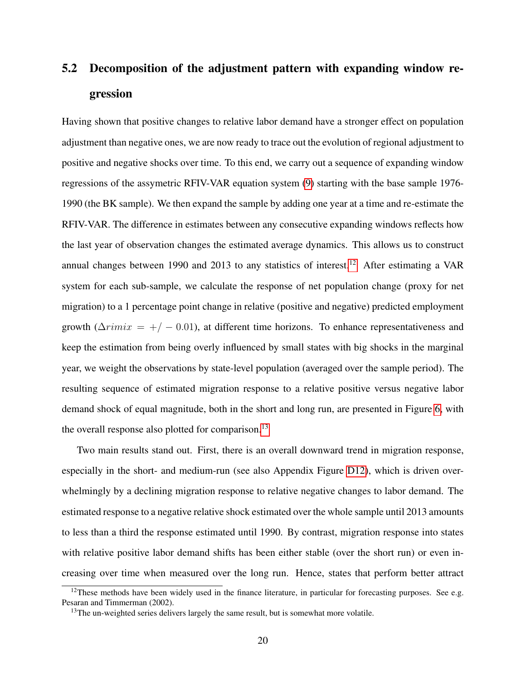## 5.2 Decomposition of the adjustment pattern with expanding window regression

Having shown that positive changes to relative labor demand have a stronger effect on population adjustment than negative ones, we are now ready to trace out the evolution of regional adjustment to positive and negative shocks over time. To this end, we carry out a sequence of expanding window regressions of the assymetric RFIV-VAR equation system [\(9\)](#page-19-0) starting with the base sample 1976- 1990 (the BK sample). We then expand the sample by adding one year at a time and re-estimate the RFIV-VAR. The difference in estimates between any consecutive expanding windows reflects how the last year of observation changes the estimated average dynamics. This allows us to construct annual changes between 1990 and 2013 to any statistics of interest.<sup>[12](#page-20-0)</sup> After estimating a VAR system for each sub-sample, we calculate the response of net population change (proxy for net migration) to a 1 percentage point change in relative (positive and negative) predicted employment growth ( $\Delta rimix = +/- 0.01$ ), at different time horizons. To enhance representativeness and keep the estimation from being overly influenced by small states with big shocks in the marginal year, we weight the observations by state-level population (averaged over the sample period). The resulting sequence of estimated migration response to a relative positive versus negative labor demand shock of equal magnitude, both in the short and long run, are presented in Figure [6,](#page-38-0) with the overall response also plotted for comparison.<sup>[13](#page-20-1)</sup>

Two main results stand out. First, there is an overall downward trend in migration response, especially in the short- and medium-run (see also Appendix Figure [D12\)](#page--1-6), which is driven overwhelmingly by a declining migration response to relative negative changes to labor demand. The estimated response to a negative relative shock estimated over the whole sample until 2013 amounts to less than a third the response estimated until 1990. By contrast, migration response into states with relative positive labor demand shifts has been either stable (over the short run) or even increasing over time when measured over the long run. Hence, states that perform better attract

<span id="page-20-0"></span> $12$ These methods have been widely used in the finance literature, in particular for forecasting purposes. See e.g. Pesaran and Timmerman (2002).

<span id="page-20-1"></span><sup>&</sup>lt;sup>13</sup>The un-weighted series delivers largely the same result, but is somewhat more volatile.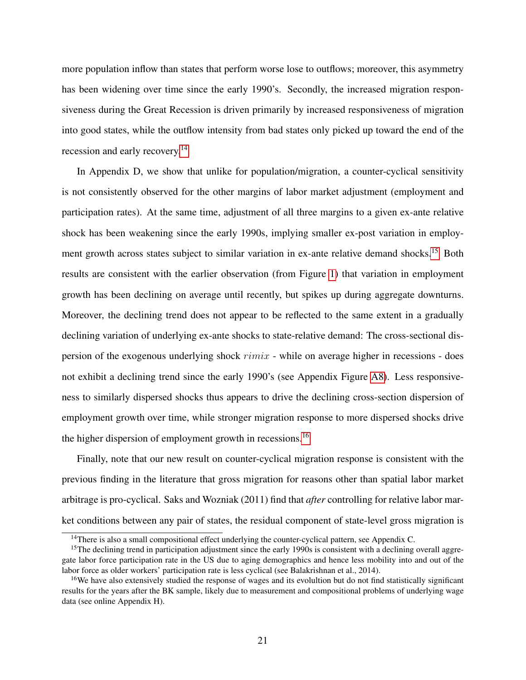more population inflow than states that perform worse lose to outflows; moreover, this asymmetry has been widening over time since the early 1990's. Secondly, the increased migration responsiveness during the Great Recession is driven primarily by increased responsiveness of migration into good states, while the outflow intensity from bad states only picked up toward the end of the recession and early recovery.<sup>[14](#page-21-0)</sup>

In Appendix D, we show that unlike for population/migration, a counter-cyclical sensitivity is not consistently observed for the other margins of labor market adjustment (employment and participation rates). At the same time, adjustment of all three margins to a given ex-ante relative shock has been weakening since the early 1990s, implying smaller ex-post variation in employ-ment growth across states subject to similar variation in ex-ante relative demand shocks.<sup>[15](#page-21-1)</sup> Both results are consistent with the earlier observation (from Figure [1\)](#page-33-0) that variation in employment growth has been declining on average until recently, but spikes up during aggregate downturns. Moreover, the declining trend does not appear to be reflected to the same extent in a gradually declining variation of underlying ex-ante shocks to state-relative demand: The cross-sectional dispersion of the exogenous underlying shock  $rimix$  - while on average higher in recessions - does not exhibit a declining trend since the early 1990's (see Appendix Figure [A8\)](#page--1-7). Less responsiveness to similarly dispersed shocks thus appears to drive the declining cross-section dispersion of employment growth over time, while stronger migration response to more dispersed shocks drive the higher dispersion of employment growth in recessions.[16](#page-21-2)

Finally, note that our new result on counter-cyclical migration response is consistent with the previous finding in the literature that gross migration for reasons other than spatial labor market arbitrage is pro-cyclical. Saks and Wozniak (2011) find that *after* controlling for relative labor market conditions between any pair of states, the residual component of state-level gross migration is

<span id="page-21-1"></span><span id="page-21-0"></span><sup>&</sup>lt;sup>14</sup>There is also a small compositional effect underlying the counter-cyclical pattern, see Appendix C.

<sup>&</sup>lt;sup>15</sup>The declining trend in participation adjustment since the early 1990s is consistent with a declining overall aggregate labor force participation rate in the US due to aging demographics and hence less mobility into and out of the labor force as older workers' participation rate is less cyclical (see Balakrishnan et al., 2014).

<span id="page-21-2"></span><sup>&</sup>lt;sup>16</sup>We have also extensively studied the response of wages and its evolultion but do not find statistically significant results for the years after the BK sample, likely due to measurement and compositional problems of underlying wage data (see online Appendix H).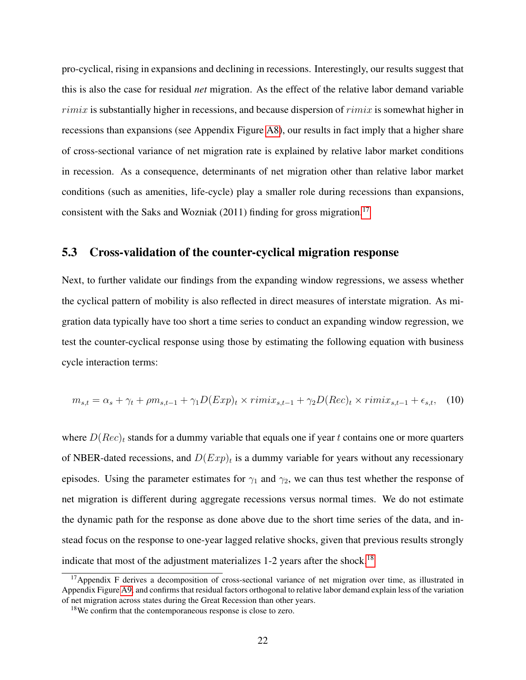pro-cyclical, rising in expansions and declining in recessions. Interestingly, our results suggest that this is also the case for residual *net* migration. As the effect of the relative labor demand variable  $rimix$  is substantially higher in recessions, and because dispersion of  $rimix$  is somewhat higher in recessions than expansions (see Appendix Figure [A8\)](#page--1-7), our results in fact imply that a higher share of cross-sectional variance of net migration rate is explained by relative labor market conditions in recession. As a consequence, determinants of net migration other than relative labor market conditions (such as amenities, life-cycle) play a smaller role during recessions than expansions, consistent with the Saks and Wozniak  $(2011)$  finding for gross migration.<sup>[17](#page-22-0)</sup>

#### 5.3 Cross-validation of the counter-cyclical migration response

Next, to further validate our findings from the expanding window regressions, we assess whether the cyclical pattern of mobility is also reflected in direct measures of interstate migration. As migration data typically have too short a time series to conduct an expanding window regression, we test the counter-cyclical response using those by estimating the following equation with business cycle interaction terms:

$$
m_{s,t} = \alpha_s + \gamma_t + \rho m_{s,t-1} + \gamma_1 D (Exp)_t \times \text{rimi} x_{s,t-1} + \gamma_2 D (Rec)_t \times \text{rimi} x_{s,t-1} + \epsilon_{s,t}, \quad (10)
$$

where  $D(Rec)_t$  stands for a dummy variable that equals one if year t contains one or more quarters of NBER-dated recessions, and  $D(Exp)_t$  is a dummy variable for years without any recessionary episodes. Using the parameter estimates for  $\gamma_1$  and  $\gamma_2$ , we can thus test whether the response of net migration is different during aggregate recessions versus normal times. We do not estimate the dynamic path for the response as done above due to the short time series of the data, and instead focus on the response to one-year lagged relative shocks, given that previous results strongly indicate that most of the adjustment materializes  $1-2$  years after the shock.<sup>[18](#page-22-1)</sup>

<span id="page-22-0"></span><sup>&</sup>lt;sup>17</sup>Appendix F derives a decomposition of cross-sectional variance of net migration over time, as illustrated in Appendix Figure [A9,](#page--1-8) and confirms that residual factors orthogonal to relative labor demand explain less of the variation of net migration across states during the Great Recession than other years.

<span id="page-22-1"></span><sup>18</sup>We confirm that the contemporaneous response is close to zero.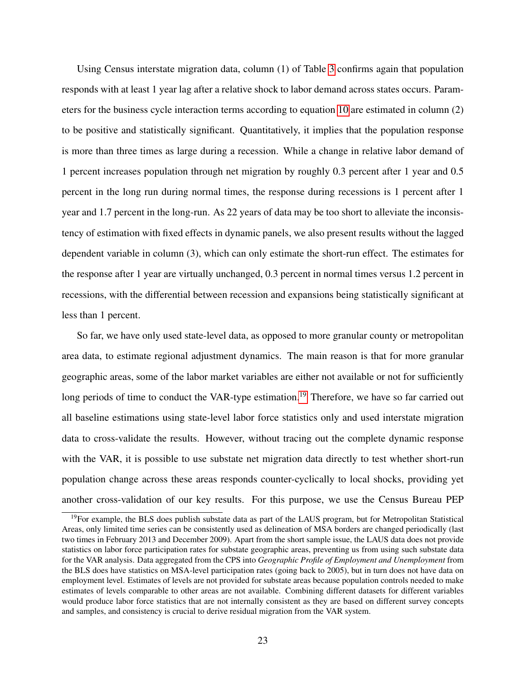Using Census interstate migration data, column (1) of Table [3](#page-32-1) confirms again that population responds with at least 1 year lag after a relative shock to labor demand across states occurs. Parameters for the business cycle interaction terms according to equation [10](#page-19-1) are estimated in column (2) to be positive and statistically significant. Quantitatively, it implies that the population response is more than three times as large during a recession. While a change in relative labor demand of 1 percent increases population through net migration by roughly 0.3 percent after 1 year and 0.5 percent in the long run during normal times, the response during recessions is 1 percent after 1 year and 1.7 percent in the long-run. As 22 years of data may be too short to alleviate the inconsistency of estimation with fixed effects in dynamic panels, we also present results without the lagged dependent variable in column (3), which can only estimate the short-run effect. The estimates for the response after 1 year are virtually unchanged, 0.3 percent in normal times versus 1.2 percent in recessions, with the differential between recession and expansions being statistically significant at less than 1 percent.

So far, we have only used state-level data, as opposed to more granular county or metropolitan area data, to estimate regional adjustment dynamics. The main reason is that for more granular geographic areas, some of the labor market variables are either not available or not for sufficiently long periods of time to conduct the VAR-type estimation.<sup>[19](#page-23-0)</sup> Therefore, we have so far carried out all baseline estimations using state-level labor force statistics only and used interstate migration data to cross-validate the results. However, without tracing out the complete dynamic response with the VAR, it is possible to use substate net migration data directly to test whether short-run population change across these areas responds counter-cyclically to local shocks, providing yet another cross-validation of our key results. For this purpose, we use the Census Bureau PEP

<span id="page-23-0"></span><sup>&</sup>lt;sup>19</sup>For example, the BLS does publish substate data as part of the LAUS program, but for Metropolitan Statistical Areas, only limited time series can be consistently used as delineation of MSA borders are changed periodically (last two times in February 2013 and December 2009). Apart from the short sample issue, the LAUS data does not provide statistics on labor force participation rates for substate geographic areas, preventing us from using such substate data for the VAR analysis. Data aggregated from the CPS into *Geographic Profile of Employment and Unemployment* from the BLS does have statistics on MSA-level participation rates (going back to 2005), but in turn does not have data on employment level. Estimates of levels are not provided for substate areas because population controls needed to make estimates of levels comparable to other areas are not available. Combining different datasets for different variables would produce labor force statistics that are not internally consistent as they are based on different survey concepts and samples, and consistency is crucial to derive residual migration from the VAR system.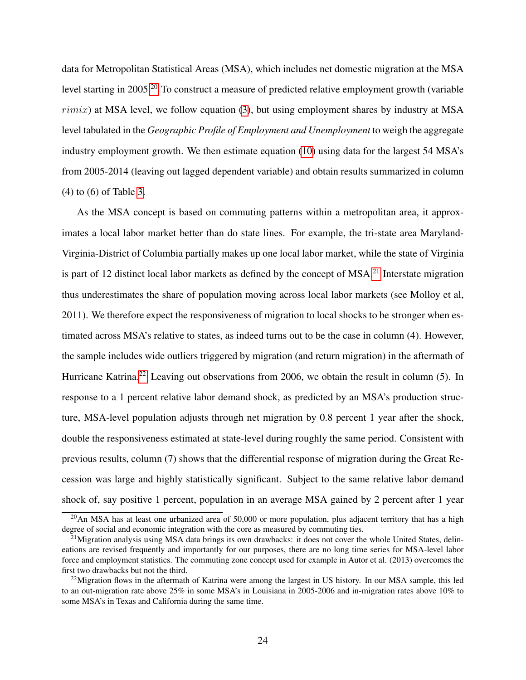data for Metropolitan Statistical Areas (MSA), which includes net domestic migration at the MSA level starting in [20](#page-24-0)05.<sup>20</sup> To construct a measure of predicted relative employment growth (variable  $rimix$ ) at MSA level, we follow equation [\(3\)](#page-9-1), but using employment shares by industry at MSA level tabulated in the *Geographic Profile of Employment and Unemployment* to weigh the aggregate industry employment growth. We then estimate equation [\(10\)](#page-19-1) using data for the largest 54 MSA's from 2005-2014 (leaving out lagged dependent variable) and obtain results summarized in column (4) to (6) of Table [3.](#page-32-1)

As the MSA concept is based on commuting patterns within a metropolitan area, it approximates a local labor market better than do state lines. For example, the tri-state area Maryland-Virginia-District of Columbia partially makes up one local labor market, while the state of Virginia is part of 12 distinct local labor markets as defined by the concept of MSA.<sup>[21](#page-24-1)</sup> Interstate migration thus underestimates the share of population moving across local labor markets (see Molloy et al, 2011). We therefore expect the responsiveness of migration to local shocks to be stronger when estimated across MSA's relative to states, as indeed turns out to be the case in column (4). However, the sample includes wide outliers triggered by migration (and return migration) in the aftermath of Hurricane Katrina.<sup>[22](#page-24-2)</sup> Leaving out observations from 2006, we obtain the result in column (5). In response to a 1 percent relative labor demand shock, as predicted by an MSA's production structure, MSA-level population adjusts through net migration by 0.8 percent 1 year after the shock, double the responsiveness estimated at state-level during roughly the same period. Consistent with previous results, column (7) shows that the differential response of migration during the Great Recession was large and highly statistically significant. Subject to the same relative labor demand shock of, say positive 1 percent, population in an average MSA gained by 2 percent after 1 year

<span id="page-24-0"></span> $^{20}$ An MSA has at least one urbanized area of 50,000 or more population, plus adjacent territory that has a high degree of social and economic integration with the core as measured by commuting ties.

<span id="page-24-1"></span> $^{21}$ Migration analysis using MSA data brings its own drawbacks: it does not cover the whole United States, delineations are revised frequently and importantly for our purposes, there are no long time series for MSA-level labor force and employment statistics. The commuting zone concept used for example in Autor et al. (2013) overcomes the first two drawbacks but not the third.

<span id="page-24-2"></span><sup>&</sup>lt;sup>22</sup>Migration flows in the aftermath of Katrina were among the largest in US history. In our MSA sample, this led to an out-migration rate above 25% in some MSA's in Louisiana in 2005-2006 and in-migration rates above 10% to some MSA's in Texas and California during the same time.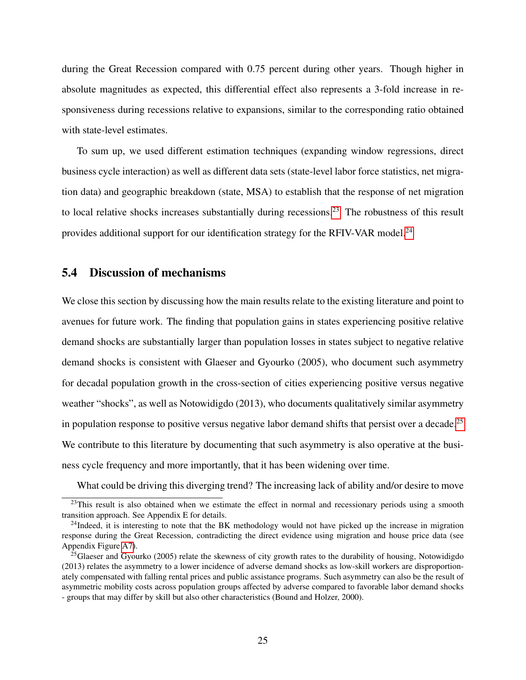during the Great Recession compared with 0.75 percent during other years. Though higher in absolute magnitudes as expected, this differential effect also represents a 3-fold increase in responsiveness during recessions relative to expansions, similar to the corresponding ratio obtained with state-level estimates.

To sum up, we used different estimation techniques (expanding window regressions, direct business cycle interaction) as well as different data sets (state-level labor force statistics, net migration data) and geographic breakdown (state, MSA) to establish that the response of net migration to local relative shocks increases substantially during recessions.<sup>[23](#page-25-0)</sup> The robustness of this result provides additional support for our identification strategy for the RFIV-VAR model.<sup>[24](#page-25-1)</sup>

#### 5.4 Discussion of mechanisms

We close this section by discussing how the main results relate to the existing literature and point to avenues for future work. The finding that population gains in states experiencing positive relative demand shocks are substantially larger than population losses in states subject to negative relative demand shocks is consistent with Glaeser and Gyourko (2005), who document such asymmetry for decadal population growth in the cross-section of cities experiencing positive versus negative weather "shocks", as well as Notowidigdo (2013), who documents qualitatively similar asymmetry in population response to positive versus negative labor demand shifts that persist over a decade.<sup>[25](#page-25-2)</sup> We contribute to this literature by documenting that such asymmetry is also operative at the business cycle frequency and more importantly, that it has been widening over time.

<span id="page-25-0"></span>What could be driving this diverging trend? The increasing lack of ability and/or desire to move

<sup>&</sup>lt;sup>23</sup>This result is also obtained when we estimate the effect in normal and recessionary periods using a smooth transition approach. See Appendix E for details.

<span id="page-25-1"></span> $^{24}$ Indeed, it is interesting to note that the BK methodology would not have picked up the increase in migration response during the Great Recession, contradicting the direct evidence using migration and house price data (see Appendix Figure [A7\)](#page--1-9).

<span id="page-25-2"></span> $25$ Glaeser and Gyourko (2005) relate the skewness of city growth rates to the durability of housing, Notowidigdo (2013) relates the asymmetry to a lower incidence of adverse demand shocks as low-skill workers are disproportionately compensated with falling rental prices and public assistance programs. Such asymmetry can also be the result of asymmetric mobility costs across population groups affected by adverse compared to favorable labor demand shocks - groups that may differ by skill but also other characteristics (Bound and Holzer, 2000).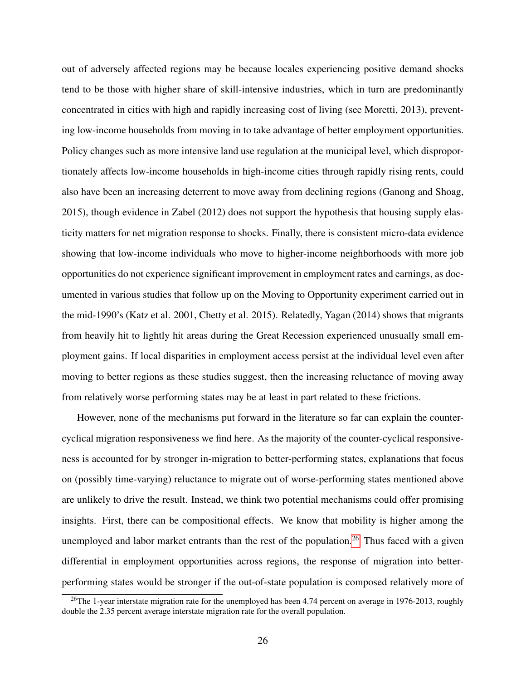out of adversely affected regions may be because locales experiencing positive demand shocks tend to be those with higher share of skill-intensive industries, which in turn are predominantly concentrated in cities with high and rapidly increasing cost of living (see Moretti, 2013), preventing low-income households from moving in to take advantage of better employment opportunities. Policy changes such as more intensive land use regulation at the municipal level, which disproportionately affects low-income households in high-income cities through rapidly rising rents, could also have been an increasing deterrent to move away from declining regions (Ganong and Shoag, 2015), though evidence in Zabel (2012) does not support the hypothesis that housing supply elasticity matters for net migration response to shocks. Finally, there is consistent micro-data evidence showing that low-income individuals who move to higher-income neighborhoods with more job opportunities do not experience significant improvement in employment rates and earnings, as documented in various studies that follow up on the Moving to Opportunity experiment carried out in the mid-1990's (Katz et al. 2001, Chetty et al. 2015). Relatedly, Yagan (2014) shows that migrants from heavily hit to lightly hit areas during the Great Recession experienced unusually small employment gains. If local disparities in employment access persist at the individual level even after moving to better regions as these studies suggest, then the increasing reluctance of moving away from relatively worse performing states may be at least in part related to these frictions.

However, none of the mechanisms put forward in the literature so far can explain the countercyclical migration responsiveness we find here. As the majority of the counter-cyclical responsiveness is accounted for by stronger in-migration to better-performing states, explanations that focus on (possibly time-varying) reluctance to migrate out of worse-performing states mentioned above are unlikely to drive the result. Instead, we think two potential mechanisms could offer promising insights. First, there can be compositional effects. We know that mobility is higher among the unemployed and labor market entrants than the rest of the population.<sup>[26](#page-26-0)</sup> Thus faced with a given differential in employment opportunities across regions, the response of migration into betterperforming states would be stronger if the out-of-state population is composed relatively more of

<span id="page-26-0"></span><sup>&</sup>lt;sup>26</sup>The 1-year interstate migration rate for the unemployed has been 4.74 percent on average in 1976-2013, roughly double the 2.35 percent average interstate migration rate for the overall population.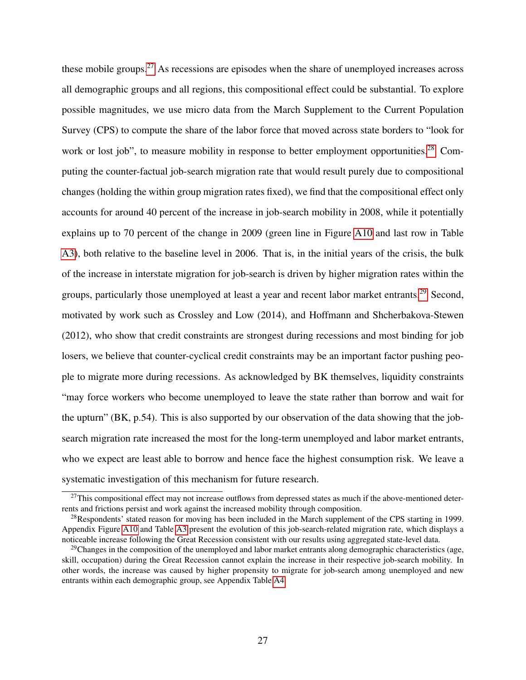these mobile groups.<sup>[27](#page-27-0)</sup> As recessions are episodes when the share of unemployed increases across all demographic groups and all regions, this compositional effect could be substantial. To explore possible magnitudes, we use micro data from the March Supplement to the Current Population Survey (CPS) to compute the share of the labor force that moved across state borders to "look for work or lost job", to measure mobility in response to better employment opportunities.<sup>[28](#page-27-1)</sup> Computing the counter-factual job-search migration rate that would result purely due to compositional changes (holding the within group migration rates fixed), we find that the compositional effect only accounts for around 40 percent of the increase in job-search mobility in 2008, while it potentially explains up to 70 percent of the change in 2009 (green line in Figure [A10](#page--1-10) and last row in Table [A3\)](#page--1-11), both relative to the baseline level in 2006. That is, in the initial years of the crisis, the bulk of the increase in interstate migration for job-search is driven by higher migration rates within the groups, particularly those unemployed at least a year and recent labor market entrants.<sup>[29](#page-27-2)</sup> Second, motivated by work such as Crossley and Low (2014), and Hoffmann and Shcherbakova-Stewen (2012), who show that credit constraints are strongest during recessions and most binding for job losers, we believe that counter-cyclical credit constraints may be an important factor pushing people to migrate more during recessions. As acknowledged by BK themselves, liquidity constraints "may force workers who become unemployed to leave the state rather than borrow and wait for the upturn" (BK, p.54). This is also supported by our observation of the data showing that the jobsearch migration rate increased the most for the long-term unemployed and labor market entrants, who we expect are least able to borrow and hence face the highest consumption risk. We leave a systematic investigation of this mechanism for future research.

<span id="page-27-0"></span> $^{27}$ This compositional effect may not increase outflows from depressed states as much if the above-mentioned deterrents and frictions persist and work against the increased mobility through composition.

<span id="page-27-1"></span><sup>&</sup>lt;sup>28</sup>Respondents' stated reason for moving has been included in the March supplement of the CPS starting in 1999. Appendix Figure [A10](#page--1-10) and Table [A3](#page--1-11) present the evolution of this job-search-related migration rate, which displays a noticeable increase following the Great Recession consistent with our results using aggregated state-level data.

<span id="page-27-2"></span><sup>&</sup>lt;sup>29</sup>Changes in the composition of the unemployed and labor market entrants along demographic characteristics (age, skill, occupation) during the Great Recession cannot explain the increase in their respective job-search mobility. In other words, the increase was caused by higher propensity to migrate for job-search among unemployed and new entrants within each demographic group, see Appendix Table [A4.](#page--1-12)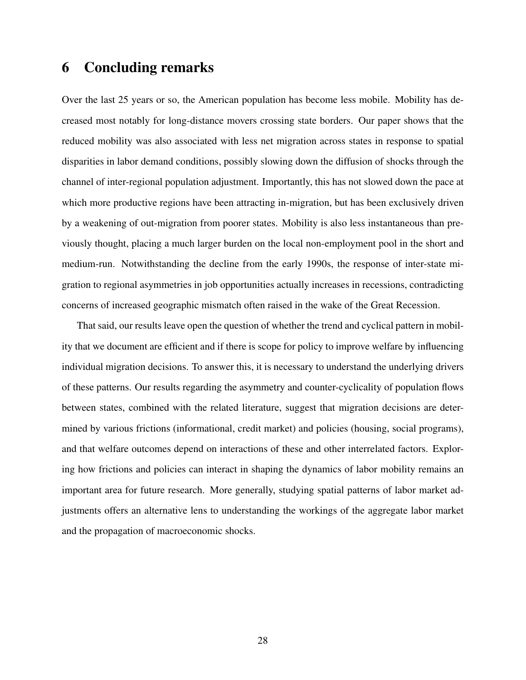## 6 Concluding remarks

Over the last 25 years or so, the American population has become less mobile. Mobility has decreased most notably for long-distance movers crossing state borders. Our paper shows that the reduced mobility was also associated with less net migration across states in response to spatial disparities in labor demand conditions, possibly slowing down the diffusion of shocks through the channel of inter-regional population adjustment. Importantly, this has not slowed down the pace at which more productive regions have been attracting in-migration, but has been exclusively driven by a weakening of out-migration from poorer states. Mobility is also less instantaneous than previously thought, placing a much larger burden on the local non-employment pool in the short and medium-run. Notwithstanding the decline from the early 1990s, the response of inter-state migration to regional asymmetries in job opportunities actually increases in recessions, contradicting concerns of increased geographic mismatch often raised in the wake of the Great Recession.

That said, our results leave open the question of whether the trend and cyclical pattern in mobility that we document are efficient and if there is scope for policy to improve welfare by influencing individual migration decisions. To answer this, it is necessary to understand the underlying drivers of these patterns. Our results regarding the asymmetry and counter-cyclicality of population flows between states, combined with the related literature, suggest that migration decisions are determined by various frictions (informational, credit market) and policies (housing, social programs), and that welfare outcomes depend on interactions of these and other interrelated factors. Exploring how frictions and policies can interact in shaping the dynamics of labor mobility remains an important area for future research. More generally, studying spatial patterns of labor market adjustments offers an alternative lens to understanding the workings of the aggregate labor market and the propagation of macroeconomic shocks.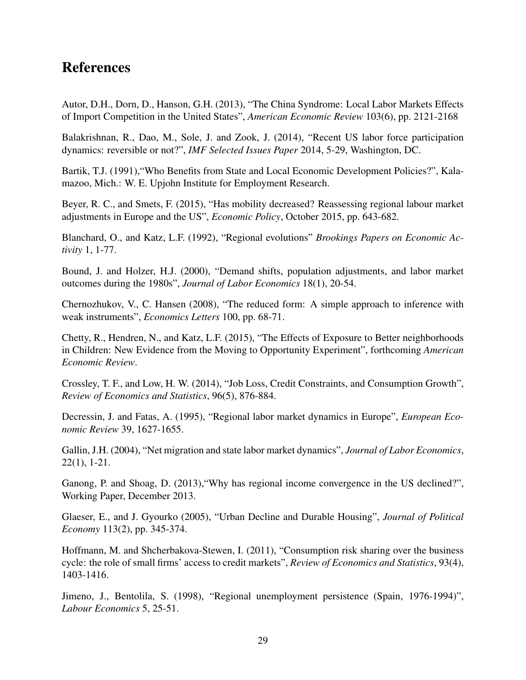## References

Autor, D.H., Dorn, D., Hanson, G.H. (2013), "The China Syndrome: Local Labor Markets Effects of Import Competition in the United States", *American Economic Review* 103(6), pp. 2121-2168

Balakrishnan, R., Dao, M., Sole, J. and Zook, J. (2014), "Recent US labor force participation dynamics: reversible or not?", *IMF Selected Issues Paper* 2014, 5-29, Washington, DC.

Bartik, T.J. (1991),"Who Benefits from State and Local Economic Development Policies?", Kalamazoo, Mich.: W. E. Upjohn Institute for Employment Research.

Beyer, R. C., and Smets, F. (2015), "Has mobility decreased? Reassessing regional labour market adjustments in Europe and the US", *Economic Policy*, October 2015, pp. 643-682.

Blanchard, O., and Katz, L.F. (1992), "Regional evolutions" *Brookings Papers on Economic Activity* 1, 1-77.

Bound, J. and Holzer, H.J. (2000), "Demand shifts, population adjustments, and labor market outcomes during the 1980s", *Journal of Labor Economics* 18(1), 20-54.

Chernozhukov, V., C. Hansen (2008), "The reduced form: A simple approach to inference with weak instruments", *Economics Letters* 100, pp. 68-71.

Chetty, R., Hendren, N., and Katz, L.F. (2015), "The Effects of Exposure to Better neighborhoods in Children: New Evidence from the Moving to Opportunity Experiment", forthcoming *American Economic Review*.

Crossley, T. F., and Low, H. W. (2014), "Job Loss, Credit Constraints, and Consumption Growth", *Review of Economics and Statistics*, 96(5), 876-884.

Decressin, J. and Fatas, A. (1995), "Regional labor market dynamics in Europe", *European Economic Review* 39, 1627-1655.

Gallin, J.H. (2004), "Net migration and state labor market dynamics", *Journal of Labor Economics*, 22(1), 1-21.

Ganong, P. and Shoag, D. (2013),"Why has regional income convergence in the US declined?", Working Paper, December 2013.

Glaeser, E., and J. Gyourko (2005), "Urban Decline and Durable Housing", *Journal of Political Economy* 113(2), pp. 345-374.

Hoffmann, M. and Shcherbakova-Stewen, I. (2011), "Consumption risk sharing over the business cycle: the role of small firms' access to credit markets", *Review of Economics and Statistics*, 93(4), 1403-1416.

Jimeno, J., Bentolila, S. (1998), "Regional unemployment persistence (Spain, 1976-1994)", *Labour Economics* 5, 25-51.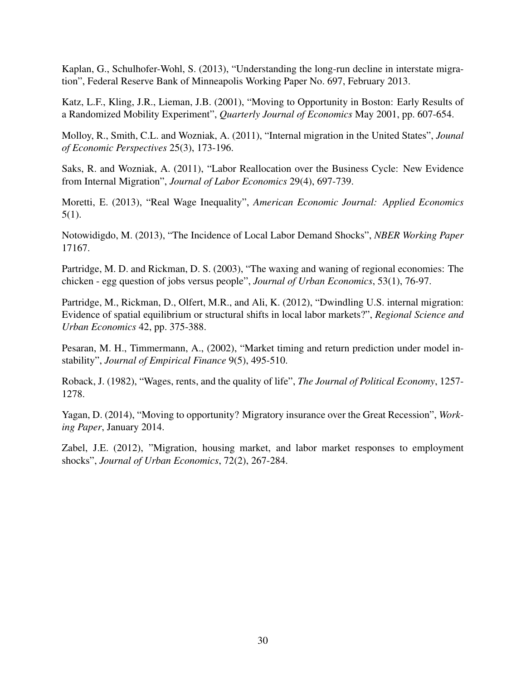Kaplan, G., Schulhofer-Wohl, S. (2013), "Understanding the long-run decline in interstate migration", Federal Reserve Bank of Minneapolis Working Paper No. 697, February 2013.

Katz, L.F., Kling, J.R., Lieman, J.B. (2001), "Moving to Opportunity in Boston: Early Results of a Randomized Mobility Experiment", *Quarterly Journal of Economics* May 2001, pp. 607-654.

Molloy, R., Smith, C.L. and Wozniak, A. (2011), "Internal migration in the United States", *Jounal of Economic Perspectives* 25(3), 173-196.

Saks, R. and Wozniak, A. (2011), "Labor Reallocation over the Business Cycle: New Evidence from Internal Migration", *Journal of Labor Economics* 29(4), 697-739.

Moretti, E. (2013), "Real Wage Inequality", *American Economic Journal: Applied Economics*  $5(1)$ .

Notowidigdo, M. (2013), "The Incidence of Local Labor Demand Shocks", *NBER Working Paper* 17167.

Partridge, M. D. and Rickman, D. S. (2003), "The waxing and waning of regional economies: The chicken - egg question of jobs versus people", *Journal of Urban Economics*, 53(1), 76-97.

Partridge, M., Rickman, D., Olfert, M.R., and Ali, K. (2012), "Dwindling U.S. internal migration: Evidence of spatial equilibrium or structural shifts in local labor markets?", *Regional Science and Urban Economics* 42, pp. 375-388.

Pesaran, M. H., Timmermann, A., (2002), "Market timing and return prediction under model instability", *Journal of Empirical Finance* 9(5), 495-510.

Roback, J. (1982), "Wages, rents, and the quality of life", *The Journal of Political Economy*, 1257- 1278.

Yagan, D. (2014), "Moving to opportunity? Migratory insurance over the Great Recession", *Working Paper*, January 2014.

Zabel, J.E. (2012), "Migration, housing market, and labor market responses to employment shocks", *Journal of Urban Economics*, 72(2), 267-284.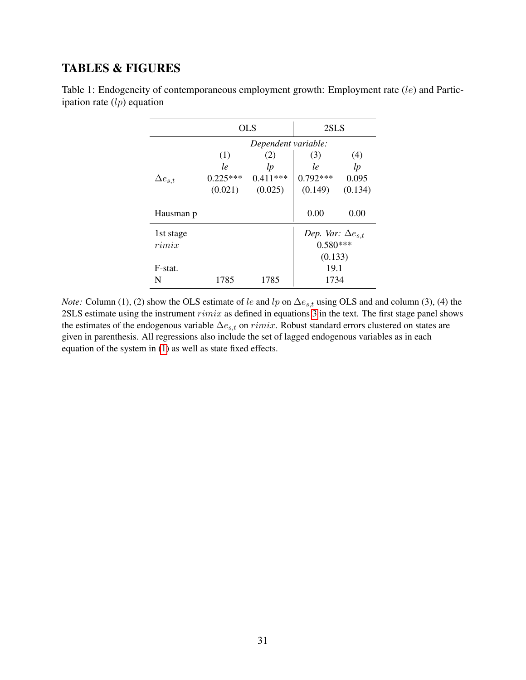## TABLES & FIGURES

|                  |                     | <b>OLS</b> | 2SLS                       |         |  |  |
|------------------|---------------------|------------|----------------------------|---------|--|--|
|                  | Dependent variable: |            |                            |         |  |  |
|                  | (1)                 | (2)        | (3)                        | (4)     |  |  |
|                  | le.                 | lp         | le                         | lp      |  |  |
| $\Delta e_{s,t}$ | $0.225***$          | $0.411***$ | $0.792***$                 | 0.095   |  |  |
|                  | (0.021)             | (0.025)    | (0.149)                    | (0.134) |  |  |
| Hausman p        |                     |            | 0.00                       | 0.00    |  |  |
| 1st stage        |                     |            | Dep. Var: $\Delta e_{s,t}$ |         |  |  |
| rimix            |                     |            | $0.580***$                 |         |  |  |
|                  |                     |            | (0.133)                    |         |  |  |
| F-stat.          |                     |            | 19.1                       |         |  |  |
| N                | 1785                | 1785       | 1734                       |         |  |  |

<span id="page-31-0"></span>Table 1: Endogeneity of contemporaneous employment growth: Employment rate (le) and Participation rate  $(lp)$  equation

*Note:* Column (1), (2) show the OLS estimate of le and lp on  $\Delta e_{s,t}$  using OLS and and column (3), (4) the 2SLS estimate using the instrument  $rimix$  as defined in equations [3](#page-9-1) in the text. The first stage panel shows the estimates of the endogenous variable  $\Delta e_{s,t}$  on  $rimix$ . Robust standard errors clustered on states are given in parenthesis. All regressions also include the set of lagged endogenous variables as in each equation of the system in [\(1\)](#page-6-0) as well as state fixed effects.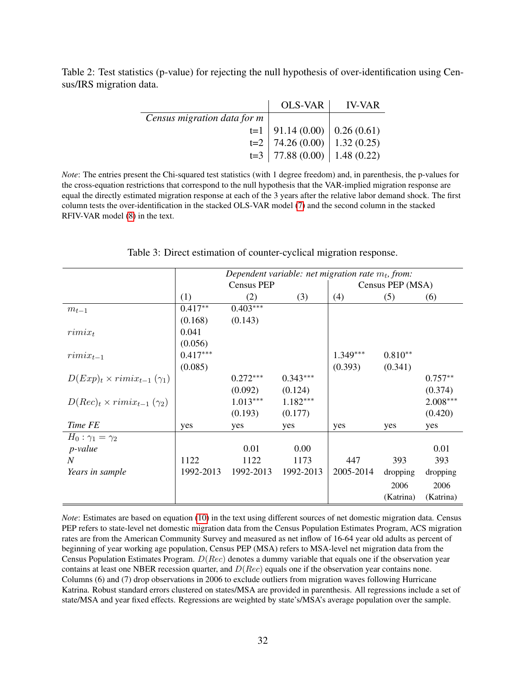<span id="page-32-0"></span>Table 2: Test statistics (p-value) for rejecting the null hypothesis of over-identification using Census/IRS migration data.

|                             | OLS-VAR                            | <b>IV-VAR</b> |
|-----------------------------|------------------------------------|---------------|
| Census migration data for m |                                    |               |
|                             | $t=1$   91.14 (0.00)   0.26 (0.61) |               |
|                             | t=2   74.26 (0.00)   1.32 (0.25)   |               |
|                             | t=3   77.88 (0.00)   1.48 (0.22)   |               |

*Note*: The entries present the Chi-squared test statistics (with 1 degree freedom) and, in parenthesis, the p-values for the cross-equation restrictions that correspond to the null hypothesis that the VAR-implied migration response are equal the directly estimated migration response at each of the 3 years after the relative labor demand shock. The first column tests the over-identification in the stacked OLS-VAR model [\(7\)](#page-16-0) and the second column in the stacked RFIV-VAR model [\(8\)](#page-16-1) in the text.

<span id="page-32-1"></span>

|                                         | Dependent variable: net migration rate $m_t$ , from: |            |            |                  |           |            |  |  |
|-----------------------------------------|------------------------------------------------------|------------|------------|------------------|-----------|------------|--|--|
|                                         | <b>Census PEP</b>                                    |            |            | Census PEP (MSA) |           |            |  |  |
|                                         | (1)                                                  | (2)        | (3)        | (4)              | (5)       | (6)        |  |  |
| $m_{t-1}$                               | $0.417**$                                            | $0.403***$ |            |                  |           |            |  |  |
|                                         | (0.168)                                              | (0.143)    |            |                  |           |            |  |  |
| $rimix_t$                               | 0.041                                                |            |            |                  |           |            |  |  |
|                                         | (0.056)                                              |            |            |                  |           |            |  |  |
| $rimix_{t-1}$                           | $0.417***$                                           |            |            | $1.349***$       | $0.810**$ |            |  |  |
|                                         | (0.085)                                              |            |            | (0.393)          | (0.341)   |            |  |  |
| $D(Exp)_t \times rimix_{t-1}(\gamma_1)$ |                                                      | $0.272***$ | $0.343***$ |                  |           | $0.757**$  |  |  |
|                                         |                                                      | (0.092)    | (0.124)    |                  |           | (0.374)    |  |  |
| $D(Rec)_t \times rimix_{t-1}(\gamma_2)$ |                                                      | $1.013***$ | $1.182***$ |                  |           | $2.008***$ |  |  |
|                                         |                                                      | (0.193)    | (0.177)    |                  |           | (0.420)    |  |  |
| Time FE                                 | yes                                                  | yes        | yes        | yes              | yes       | yes        |  |  |
| $H_0: \gamma_1 = \gamma_2$              |                                                      |            |            |                  |           |            |  |  |
| $p$ -value                              |                                                      | 0.01       | 0.00       |                  |           | 0.01       |  |  |
| N                                       | 1122                                                 | 1122       | 1173       | 447              | 393       | 393        |  |  |
| Years in sample                         | 1992-2013                                            | 1992-2013  | 1992-2013  | 2005-2014        | dropping  | dropping   |  |  |
|                                         |                                                      |            |            |                  | 2006      | 2006       |  |  |
|                                         |                                                      |            |            |                  | (Katrina) | (Katrina)  |  |  |

Table 3: Direct estimation of counter-cyclical migration response.

*Note*: Estimates are based on equation [\(10\)](#page-19-1) in the text using different sources of net domestic migration data. Census PEP refers to state-level net domestic migration data from the Census Population Estimates Program, ACS migration rates are from the American Community Survey and measured as net inflow of 16-64 year old adults as percent of beginning of year working age population, Census PEP (MSA) refers to MSA-level net migration data from the Census Population Estimates Program.  $D(Rec)$  denotes a dummy variable that equals one if the observation year contains at least one NBER recession quarter, and  $D(Rec)$  equals one if the observation year contains none. Columns (6) and (7) drop observations in 2006 to exclude outliers from migration waves following Hurricane Katrina. Robust standard errors clustered on states/MSA are provided in parenthesis. All regressions include a set of state/MSA and year fixed effects. Regressions are weighted by state's/MSA's average population over the sample.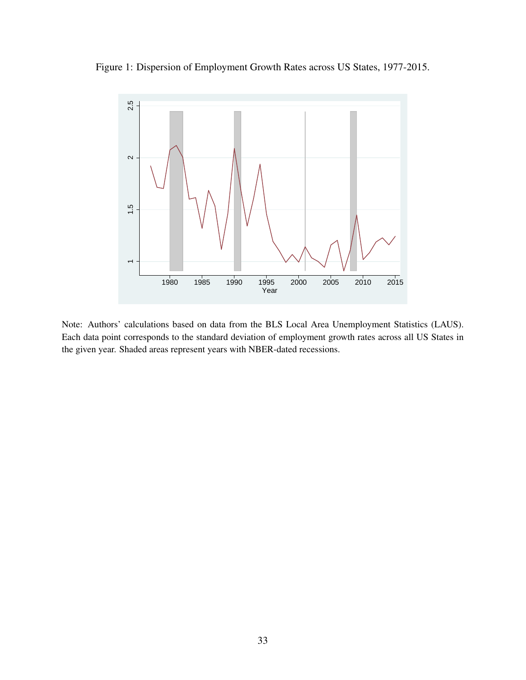<span id="page-33-0"></span>Figure 1: Dispersion of Employment Growth Rates across US States, 1977-2015.



Note: Authors' calculations based on data from the BLS Local Area Unemployment Statistics (LAUS). Each data point corresponds to the standard deviation of employment growth rates across all US States in the given year. Shaded areas represent years with NBER-dated recessions.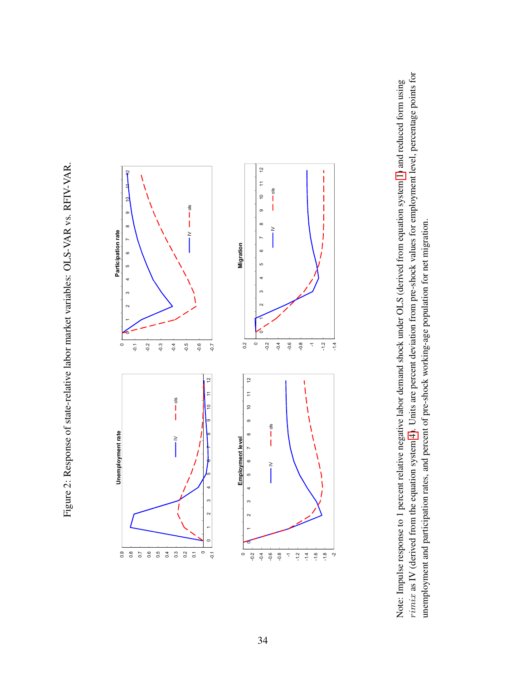<span id="page-34-0"></span>Figure 2: Response of state-relative labor market variables: OLS-VAR vs. RFIV-VAR. Figure 2: Response of state-relative labor market variables: OLS-VAR vs. RFIV-VAR.



rimix as IV (derived from the equation system 4). Units are percent deviation from pre-shock values for employment level, percentage points for rimix as IV (derived from the equation system [4\)](#page-12-1). Units are percent deviation from pre-shock values for employment level, percentage points for Note: Impulse response to 1 percent relative negative labor demand shock under OLS (derived from equation system 1) and reduced form using Note: Impulse response to 1 percent relative negative labor demand shock under OLS (derived from equation system [1\)](#page-6-0) and reduced form using unemployment and participation rates, and percent of pre-shock working-age population for net migration. unemployment and participation rates, and percent of pre-shock working-age population for net migration.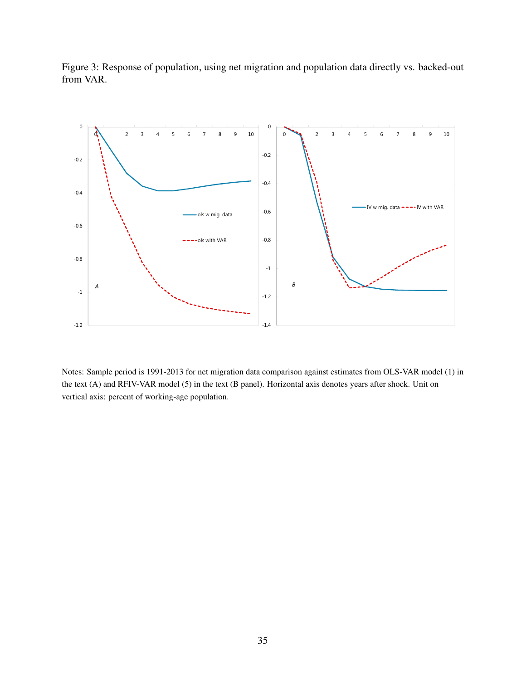

<span id="page-35-0"></span>Figure 3: Response of population, using net migration and population data directly vs. backed-out from VAR.

Notes: Sample period is 1991-2013 for net migration data comparison against estimates from OLS-VAR model (1) in the text (A) and RFIV-VAR model (5) in the text (B panel). Horizontal axis denotes years after shock. Unit on vertical axis: percent of working-age population.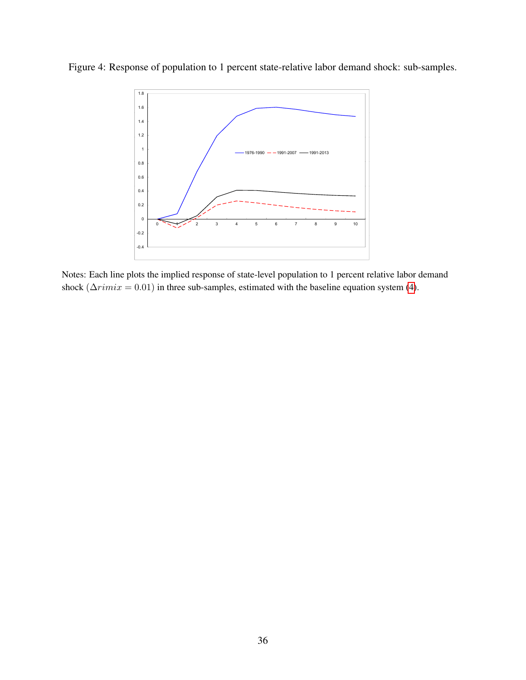<span id="page-36-0"></span>Figure 4: Response of population to 1 percent state-relative labor demand shock: sub-samples.



Notes: Each line plots the implied response of state-level population to 1 percent relative labor demand shock ( $\Delta rimix = 0.01$ ) in three sub-samples, estimated with the baseline equation system [\(4\)](#page-12-1).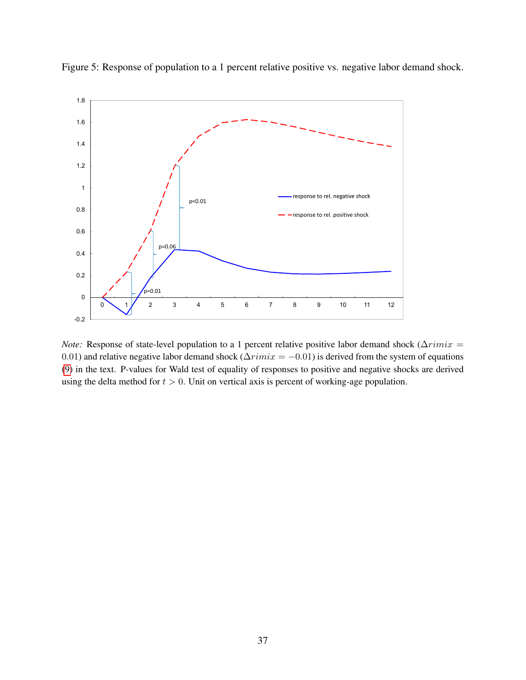

<span id="page-37-0"></span>Figure 5: Response of population to a 1 percent relative positive vs. negative labor demand shock.

*Note:* Response of state-level population to a 1 percent relative positive labor demand shock ( $\Delta rimix =$ 0.01) and relative negative labor demand shock ( $\Delta rimix = -0.01$ ) is derived from the system of equations [\(9\)](#page-19-0) in the text. P-values for Wald test of equality of responses to positive and negative shocks are derived using the delta method for  $t > 0$ . Unit on vertical axis is percent of working-age population.